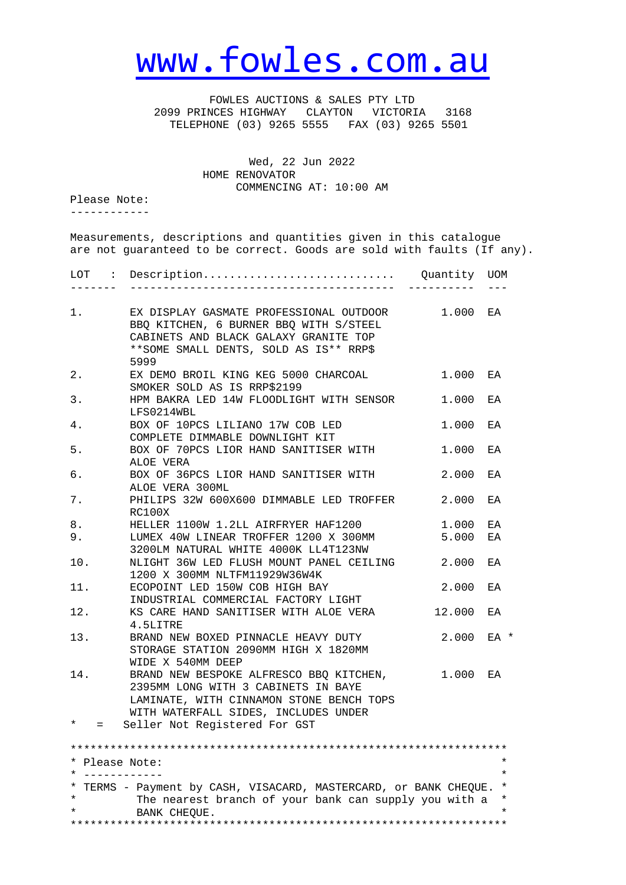## [www.fowles.com.au](http://www.fowles.com.au/)

 FOWLES AUCTIONS & SALES PTY LTD 2099 PRINCES HIGHWAY CLAYTON VICTORIA 3168 TELEPHONE (03) 9265 5555 FAX (03) 9265 5501

> Wed, 22 Jun 2022 HOME RENOVATOR COMMENCING AT: 10:00 AM

Please Note:

------------

Measurements, descriptions and quantities given in this catalogue are not guaranteed to be correct. Goods are sold with faults (If any).

| LOT :                            | $Description \dots \dots \dots \dots \dots \dots \dots \dots \dots \dots \dots$                                                                                               | Quantity | UOM                             |
|----------------------------------|-------------------------------------------------------------------------------------------------------------------------------------------------------------------------------|----------|---------------------------------|
| 1.                               | EX DISPLAY GASMATE PROFESSIONAL OUTDOOR<br>BBQ KITCHEN, 6 BURNER BBQ WITH S/STEEL<br>CABINETS AND BLACK GALAXY GRANITE TOP<br>** SOME SMALL DENTS, SOLD AS IS** RRP\$<br>5999 | 1.000    | EA                              |
| 2.                               | EX DEMO BROIL KING KEG 5000 CHARCOAL                                                                                                                                          | 1.000    | EA                              |
| 3.                               | SMOKER SOLD AS IS RRP\$2199<br>HPM BAKRA LED 14W FLOODLIGHT WITH SENSOR<br>LFS0214WBL                                                                                         | 1.000    | ΕA                              |
| 4.                               | BOX OF 10PCS LILIANO 17W COB LED<br>COMPLETE DIMMABLE DOWNLIGHT KIT                                                                                                           | 1,000    | EA                              |
| 5.                               | BOX OF 70PCS LIOR HAND SANITISER WITH<br>ALOE VERA                                                                                                                            | 1.000    | ΕA                              |
| б.                               | BOX OF 36PCS LIOR HAND SANITISER WITH<br>ALOE VERA 300ML                                                                                                                      | 2.000    | ЕA                              |
| 7.                               | PHILIPS 32W 600X600 DIMMABLE LED TROFFER<br>RC100X                                                                                                                            | 2.000    | EA                              |
| 8.                               | HELLER 1100W 1.2LL AIRFRYER HAF1200                                                                                                                                           | 1,000    | EA                              |
| 9.                               | LUMEX 40W LINEAR TROFFER 1200 X 300MM<br>3200LM NATURAL WHITE 4000K LL4T123NW                                                                                                 | 5.000    | ΕA                              |
| 10.                              | NLIGHT 36W LED FLUSH MOUNT PANEL CEILING<br>1200 X 300MM NLTFM11929W36W4K                                                                                                     | 2.000    | EA                              |
| 11.                              | ECOPOINT LED 150W COB HIGH BAY<br>INDUSTRIAL COMMERCIAL FACTORY LIGHT                                                                                                         | 2.000    | EA                              |
| 12.                              | KS CARE HAND SANITISER WITH ALOE VERA<br>4.5LITRE                                                                                                                             | 12.000   | EA                              |
| 13.                              | BRAND NEW BOXED PINNACLE HEAVY DUTY<br>STORAGE STATION 2090MM HIGH X 1820MM<br>WIDE X 540MM DEEP                                                                              | 2.000    | EA *                            |
| 14.                              | BRAND NEW BESPOKE ALFRESCO BBQ KITCHEN,<br>2395MM LONG WITH 3 CABINETS IN BAYE<br>LAMINATE, WITH CINNAMON STONE BENCH TOPS<br>WITH WATERFALL SIDES, INCLUDES UNDER            | 1.000    | EA                              |
| $\star$<br>$=$                   | Seller Not Registered For GST                                                                                                                                                 |          |                                 |
| * Please Note:<br>* ------------ | * TERMS - Payment by CASH, VISACARD, MASTERCARD, or BANK CHEQUE.                                                                                                              |          | $^\star$<br>$\star$<br>$^\star$ |
| $\star$<br>$\star$               | The nearest branch of your bank can supply you with a<br>BANK CHEQUE.                                                                                                         |          | $^\star$<br>$\star$             |

\*\*\*\*\*\*\*\*\*\*\*\*\*\*\*\*\*\*\*\*\*\*\*\*\*\*\*\*\*\*\*\*\*\*\*\*\*\*\*\*\*\*\*\*\*\*\*\*\*\*\*\*\*\*\*\*\*\*\*\*\*\*\*\*\*\*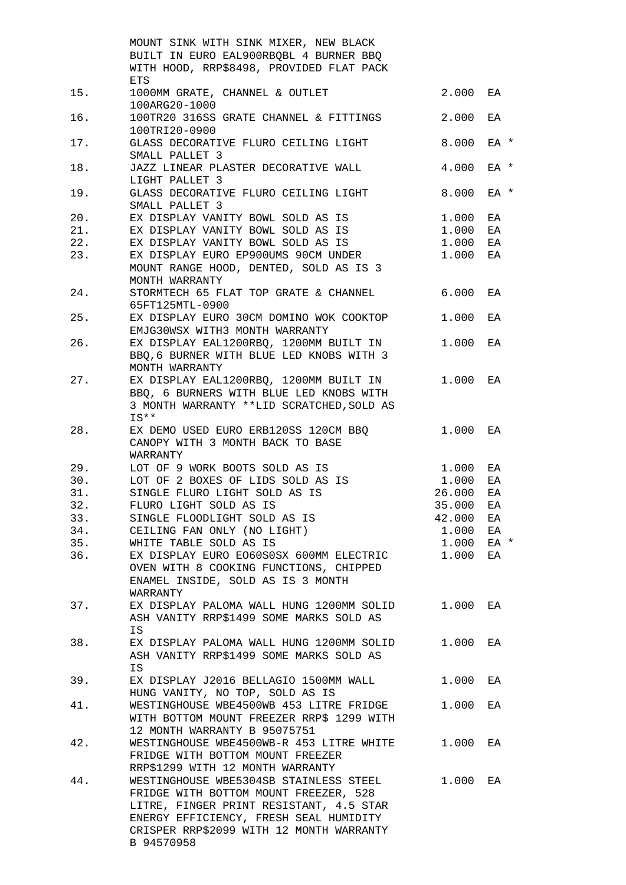|     | MOUNT SINK WITH SINK MIXER, NEW BLACK     |        |      |
|-----|-------------------------------------------|--------|------|
|     | BUILT IN EURO EAL900RBQBL 4 BURNER BBQ    |        |      |
|     | WITH HOOD, RRP\$8498, PROVIDED FLAT PACK  |        |      |
|     | ETS                                       |        |      |
| 15. | 1000MM GRATE, CHANNEL & OUTLET            | 2.000  | EA   |
|     | 100ARG20-1000                             |        |      |
| 16. | 100TR20 316SS GRATE CHANNEL & FITTINGS    | 2.000  | EA   |
|     | 100TRI20-0900                             |        |      |
| 17. | GLASS DECORATIVE FLURO CEILING LIGHT      | 8.000  | EA * |
|     | SMALL PALLET 3                            |        |      |
| 18. | JAZZ LINEAR PLASTER DECORATIVE WALL       | 4.000  | EA * |
|     | LIGHT PALLET 3                            |        |      |
|     |                                           |        |      |
| 19. | GLASS DECORATIVE FLURO CEILING LIGHT      | 8.000  | EA * |
|     | SMALL PALLET 3                            |        |      |
| 20. | EX DISPLAY VANITY BOWL SOLD AS IS         | 1.000  | EA   |
| 21. | EX DISPLAY VANITY BOWL SOLD AS IS         | 1.000  | EA   |
| 22. | EX DISPLAY VANITY BOWL SOLD AS IS         | 1.000  | EA   |
| 23. | EX DISPLAY EURO EP900UMS 90CM UNDER       | 1.000  | EA   |
|     | MOUNT RANGE HOOD, DENTED, SOLD AS IS 3    |        |      |
|     | MONTH WARRANTY                            |        |      |
| 24. | STORMTECH 65 FLAT TOP GRATE & CHANNEL     | 6.000  | ЕA   |
|     | 65FT125MTL-0900                           |        |      |
| 25. | EX DISPLAY EURO 30CM DOMINO WOK COOKTOP   | 1.000  | ΕA   |
|     | EMJG30WSX WITH3 MONTH WARRANTY            |        |      |
| 26. | EX DISPLAY EAL1200RBQ, 1200MM BUILT IN    | 1.000  | EA   |
|     | BBQ, 6 BURNER WITH BLUE LED KNOBS WITH 3  |        |      |
|     | MONTH WARRANTY                            |        |      |
| 27. | EX DISPLAY EAL1200RBQ, 1200MM BUILT IN    | 1,000  | EA   |
|     | BBQ, 6 BURNERS WITH BLUE LED KNOBS WITH   |        |      |
|     | 3 MONTH WARRANTY **LID SCRATCHED, SOLD AS |        |      |
|     | IS**                                      |        |      |
| 28. | EX DEMO USED EURO ERB120SS 120CM BBQ      | 1.000  | EA   |
|     | CANOPY WITH 3 MONTH BACK TO BASE          |        |      |
|     | WARRANTY                                  |        |      |
| 29. | LOT OF 9 WORK BOOTS SOLD AS IS            | 1.000  | ΕA   |
| 30. | LOT OF 2 BOXES OF LIDS SOLD AS IS         | 1.000  | ΕA   |
| 31. | SINGLE FLURO LIGHT SOLD AS IS             | 26.000 | ΕA   |
| 32. | FLURO LIGHT SOLD AS IS                    | 35.000 | ΕA   |
| 33. | SINGLE FLOODLIGHT SOLD AS IS              | 42.000 | EA   |
| 34. | CEILING FAN ONLY (NO LIGHT)               | 1.000  | EA   |
|     |                                           |        |      |
| 35. | WHITE TABLE SOLD AS IS                    | 1.000  | EA * |
| 36. | EX DISPLAY EURO EO60S0SX 600MM ELECTRIC   | 1.000  | EA   |
|     | OVEN WITH 8 COOKING FUNCTIONS, CHIPPED    |        |      |
|     | ENAMEL INSIDE, SOLD AS IS 3 MONTH         |        |      |
|     | WARRANTY                                  |        |      |
| 37. | EX DISPLAY PALOMA WALL HUNG 1200MM SOLID  | 1.000  | EA   |
|     | ASH VANITY RRP\$1499 SOME MARKS SOLD AS   |        |      |
|     | IS                                        |        |      |
| 38. | EX DISPLAY PALOMA WALL HUNG 1200MM SOLID  | 1.000  | EA   |
|     | ASH VANITY RRP\$1499 SOME MARKS SOLD AS   |        |      |
|     | <b>IS</b>                                 |        |      |
| 39. | EX DISPLAY J2016 BELLAGIO 1500MM WALL     | 1.000  | ЕA   |
|     | HUNG VANITY, NO TOP, SOLD AS IS           |        |      |
| 41. | WESTINGHOUSE WBE4500WB 453 LITRE FRIDGE   | 1.000  | ΕA   |
|     | WITH BOTTOM MOUNT FREEZER RRP\$ 1299 WITH |        |      |
|     | 12 MONTH WARRANTY B 95075751              |        |      |
| 42. | WESTINGHOUSE WBE4500WB-R 453 LITRE WHITE  | 1.000  | EA   |
|     | FRIDGE WITH BOTTOM MOUNT FREEZER          |        |      |
|     | RRP\$1299 WITH 12 MONTH WARRANTY          |        |      |
| 44. | WESTINGHOUSE WBE5304SB STAINLESS STEEL    | 1.000  | EA   |
|     | FRIDGE WITH BOTTOM MOUNT FREEZER, 528     |        |      |
|     | LITRE, FINGER PRINT RESISTANT, 4.5 STAR   |        |      |
|     | ENERGY EFFICIENCY, FRESH SEAL HUMIDITY    |        |      |
|     | CRISPER RRP\$2099 WITH 12 MONTH WARRANTY  |        |      |
|     | B 94570958                                |        |      |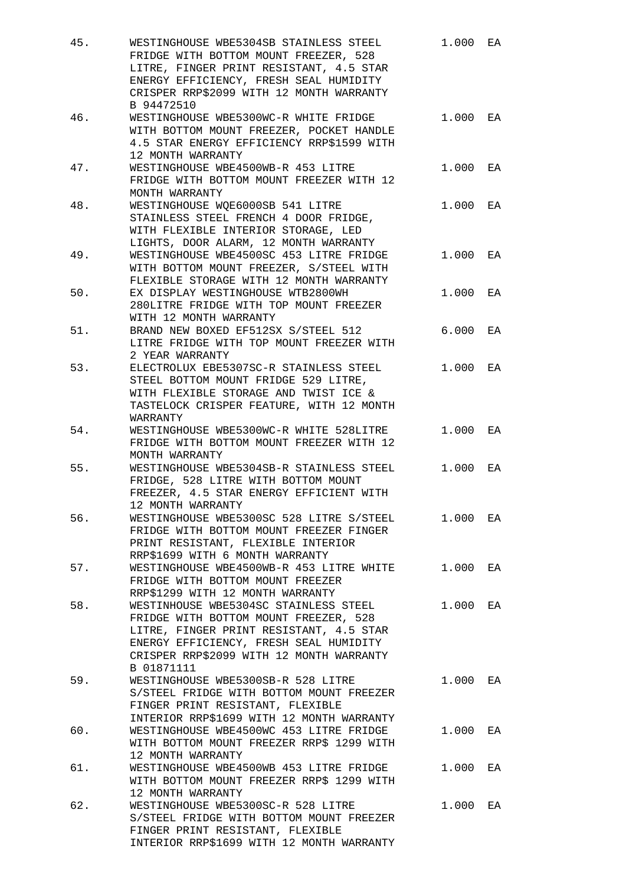| 45.   | WESTINGHOUSE WBE5304SB STAINLESS STEEL<br>FRIDGE WITH BOTTOM MOUNT FREEZER, 528<br>LITRE, FINGER PRINT RESISTANT, 4.5 STAR<br>ENERGY EFFICIENCY, FRESH SEAL HUMIDITY<br>CRISPER RRP\$2099 WITH 12 MONTH WARRANTY<br>B 94472510 | 1.000 | EA |
|-------|--------------------------------------------------------------------------------------------------------------------------------------------------------------------------------------------------------------------------------|-------|----|
| 46.   | WESTINGHOUSE WBE5300WC-R WHITE FRIDGE<br>WITH BOTTOM MOUNT FREEZER, POCKET HANDLE<br>4.5 STAR ENERGY EFFICIENCY RRP\$1599 WITH<br>12 MONTH WARRANTY                                                                            | 1.000 | EA |
| 47.   | WESTINGHOUSE WBE4500WB-R 453 LITRE<br>FRIDGE WITH BOTTOM MOUNT FREEZER WITH 12<br>MONTH WARRANTY                                                                                                                               | 1.000 | EA |
| 48.   | WESTINGHOUSE WQE6000SB 541 LITRE<br>STAINLESS STEEL FRENCH 4 DOOR FRIDGE,<br>WITH FLEXIBLE INTERIOR STORAGE, LED<br>LIGHTS, DOOR ALARM, 12 MONTH WARRANTY                                                                      | 1.000 | EA |
| 49.   | WESTINGHOUSE WBE4500SC 453 LITRE FRIDGE<br>WITH BOTTOM MOUNT FREEZER, S/STEEL WITH<br>FLEXIBLE STORAGE WITH 12 MONTH WARRANTY                                                                                                  | 1.000 | EA |
| $50.$ | EX DISPLAY WESTINGHOUSE WTB2800WH<br>280LITRE FRIDGE WITH TOP MOUNT FREEZER<br>WITH 12 MONTH WARRANTY                                                                                                                          | 1.000 | EA |
| 51.   | BRAND NEW BOXED EF512SX S/STEEL 512<br>LITRE FRIDGE WITH TOP MOUNT FREEZER WITH<br>2 YEAR WARRANTY                                                                                                                             | 6.000 | EA |
| 53.   | ELECTROLUX EBE5307SC-R STAINLESS STEEL<br>STEEL BOTTOM MOUNT FRIDGE 529 LITRE,<br>WITH FLEXIBLE STORAGE AND TWIST ICE &<br>TASTELOCK CRISPER FEATURE, WITH 12 MONTH<br>WARRANTY                                                | 1.000 | EA |
| 54.   | WESTINGHOUSE WBE5300WC-R WHITE 528LITRE<br>FRIDGE WITH BOTTOM MOUNT FREEZER WITH 12<br>MONTH WARRANTY                                                                                                                          | 1.000 | EA |
| 55.   | WESTINGHOUSE WBE5304SB-R STAINLESS STEEL<br>FRIDGE, 528 LITRE WITH BOTTOM MOUNT<br>FREEZER, 4.5 STAR ENERGY EFFICIENT WITH<br>12 MONTH WARRANTY                                                                                | 1.000 | EA |
| 56.   | WESTINGHOUSE WBE5300SC 528 LITRE S/STEEL<br>FRIDGE WITH BOTTOM MOUNT FREEZER FINGER<br>PRINT RESISTANT, FLEXIBLE INTERIOR<br>RRP\$1699 WITH 6 MONTH WARRANTY                                                                   | 1.000 | EA |
| 57.   | WESTINGHOUSE WBE4500WB-R 453 LITRE WHITE<br>FRIDGE WITH BOTTOM MOUNT FREEZER<br>RRP\$1299 WITH 12 MONTH WARRANTY                                                                                                               | 1.000 | EA |
| 58.   | WESTINHOUSE WBE5304SC STAINLESS STEEL<br>FRIDGE WITH BOTTOM MOUNT FREEZER, 528<br>LITRE, FINGER PRINT RESISTANT, 4.5 STAR<br>ENERGY EFFICIENCY, FRESH SEAL HUMIDITY<br>CRISPER RRP\$2099 WITH 12 MONTH WARRANTY<br>B 01871111  | 1.000 | EA |
| 59.   | WESTINGHOUSE WBE5300SB-R 528 LITRE<br>S/STEEL FRIDGE WITH BOTTOM MOUNT FREEZER<br>FINGER PRINT RESISTANT, FLEXIBLE<br>INTERIOR RRP\$1699 WITH 12 MONTH WARRANTY                                                                | 1.000 | EA |
| 60.   | WESTINGHOUSE WBE4500WC 453 LITRE FRIDGE<br>WITH BOTTOM MOUNT FREEZER RRP\$ 1299 WITH<br>12 MONTH WARRANTY                                                                                                                      | 1.000 | EA |
| 61.   | WESTINGHOUSE WBE4500WB 453 LITRE FRIDGE<br>WITH BOTTOM MOUNT FREEZER RRP\$ 1299 WITH<br>12 MONTH WARRANTY                                                                                                                      | 1.000 | EA |
| 62.   | WESTINGHOUSE WBE5300SC-R 528 LITRE<br>S/STEEL FRIDGE WITH BOTTOM MOUNT FREEZER<br>FINGER PRINT RESISTANT, FLEXIBLE<br>INTERIOR RRP\$1699 WITH 12 MONTH WARRANTY                                                                | 1.000 | EA |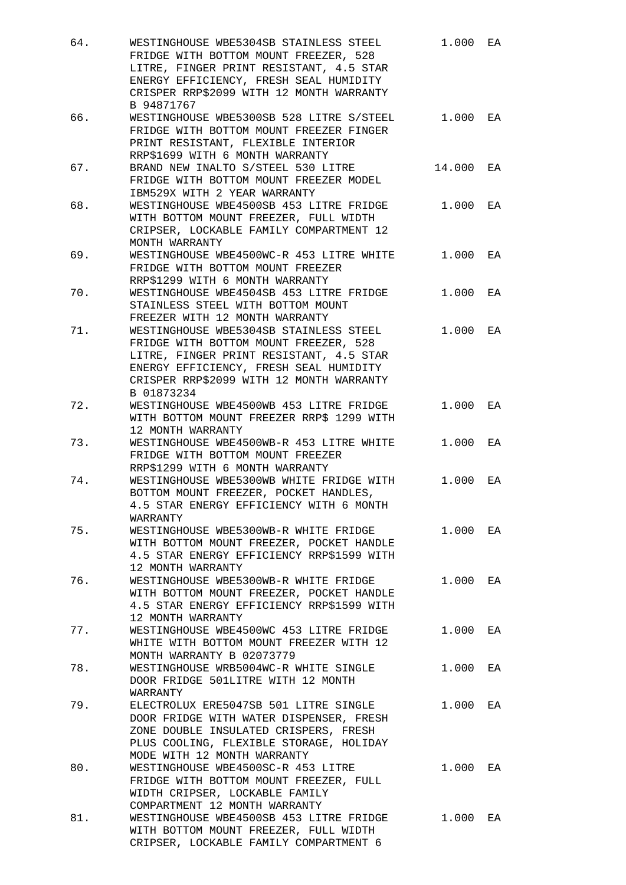| 64.   | WESTINGHOUSE WBE5304SB STAINLESS STEEL<br>FRIDGE WITH BOTTOM MOUNT FREEZER, 528<br>LITRE, FINGER PRINT RESISTANT, 4.5 STAR<br>ENERGY EFFICIENCY, FRESH SEAL HUMIDITY<br>CRISPER RRP\$2099 WITH 12 MONTH WARRANTY<br>B 94871767 | 1.000  | EA |
|-------|--------------------------------------------------------------------------------------------------------------------------------------------------------------------------------------------------------------------------------|--------|----|
| 66.   | WESTINGHOUSE WBE5300SB 528 LITRE S/STEEL<br>FRIDGE WITH BOTTOM MOUNT FREEZER FINGER<br>PRINT RESISTANT, FLEXIBLE INTERIOR<br>RRP\$1699 WITH 6 MONTH WARRANTY                                                                   | 1.000  | EA |
| 67.   | BRAND NEW INALTO S/STEEL 530 LITRE<br>FRIDGE WITH BOTTOM MOUNT FREEZER MODEL<br>IBM529X WITH 2 YEAR WARRANTY                                                                                                                   | 14.000 | EA |
| 68.   | WESTINGHOUSE WBE4500SB 453 LITRE FRIDGE<br>WITH BOTTOM MOUNT FREEZER, FULL WIDTH<br>CRIPSER, LOCKABLE FAMILY COMPARTMENT 12<br>MONTH WARRANTY                                                                                  | 1.000  | EA |
| 69.   | WESTINGHOUSE WBE4500WC-R 453 LITRE WHITE<br>FRIDGE WITH BOTTOM MOUNT FREEZER<br>RRP\$1299 WITH 6 MONTH WARRANTY                                                                                                                | 1.000  | EA |
| $70.$ | WESTINGHOUSE WBE4504SB 453 LITRE FRIDGE<br>STAINLESS STEEL WITH BOTTOM MOUNT<br>FREEZER WITH 12 MONTH WARRANTY                                                                                                                 | 1.000  | EA |
| 71.   | WESTINGHOUSE WBE5304SB STAINLESS STEEL<br>FRIDGE WITH BOTTOM MOUNT FREEZER, 528<br>LITRE, FINGER PRINT RESISTANT, 4.5 STAR<br>ENERGY EFFICIENCY, FRESH SEAL HUMIDITY<br>CRISPER RRP\$2099 WITH 12 MONTH WARRANTY<br>B 01873234 | 1.000  | EA |
| 72.   | WESTINGHOUSE WBE4500WB 453 LITRE FRIDGE<br>WITH BOTTOM MOUNT FREEZER RRP\$ 1299 WITH<br>12 MONTH WARRANTY                                                                                                                      | 1.000  | EA |
| 73.   | WESTINGHOUSE WBE4500WB-R 453 LITRE WHITE<br>FRIDGE WITH BOTTOM MOUNT FREEZER<br>RRP\$1299 WITH 6 MONTH WARRANTY                                                                                                                | 1.000  | EA |
| 74.   | WESTINGHOUSE WBE5300WB WHITE FRIDGE WITH<br>BOTTOM MOUNT FREEZER, POCKET HANDLES,<br>4.5 STAR ENERGY EFFICIENCY WITH 6 MONTH<br>WARRANTY                                                                                       | 1.000  | EA |
| 75.   | WESTINGHOUSE WBE5300WB-R WHITE FRIDGE<br>WITH BOTTOM MOUNT FREEZER, POCKET HANDLE<br>4.5 STAR ENERGY EFFICIENCY RRP\$1599 WITH<br>12 MONTH WARRANTY                                                                            | 1.000  | EA |
| 76.   | WESTINGHOUSE WBE5300WB-R WHITE FRIDGE<br>WITH BOTTOM MOUNT FREEZER, POCKET HANDLE<br>4.5 STAR ENERGY EFFICIENCY RRP\$1599 WITH<br>12 MONTH WARRANTY                                                                            | 1.000  | EA |
| 77.   | WESTINGHOUSE WBE4500WC 453 LITRE FRIDGE<br>WHITE WITH BOTTOM MOUNT FREEZER WITH 12<br>MONTH WARRANTY B 02073779                                                                                                                | 1.000  | EA |
| 78.   | WESTINGHOUSE WRB5004WC-R WHITE SINGLE<br>DOOR FRIDGE 501LITRE WITH 12 MONTH<br>WARRANTY                                                                                                                                        | 1.000  | EA |
| 79.   | ELECTROLUX ERE5047SB 501 LITRE SINGLE<br>DOOR FRIDGE WITH WATER DISPENSER, FRESH<br>ZONE DOUBLE INSULATED CRISPERS, FRESH<br>PLUS COOLING, FLEXIBLE STORAGE, HOLIDAY<br>MODE WITH 12 MONTH WARRANTY                            | 1.000  | EA |
| 80.   | WESTINGHOUSE WBE4500SC-R 453 LITRE<br>FRIDGE WITH BOTTOM MOUNT FREEZER, FULL<br>WIDTH CRIPSER, LOCKABLE FAMILY<br>COMPARTMENT 12 MONTH WARRANTY                                                                                | 1.000  | EA |
| 81.   | WESTINGHOUSE WBE4500SB 453 LITRE FRIDGE<br>WITH BOTTOM MOUNT FREEZER, FULL WIDTH<br>CRIPSER, LOCKABLE FAMILY COMPARTMENT 6                                                                                                     | 1.000  | EA |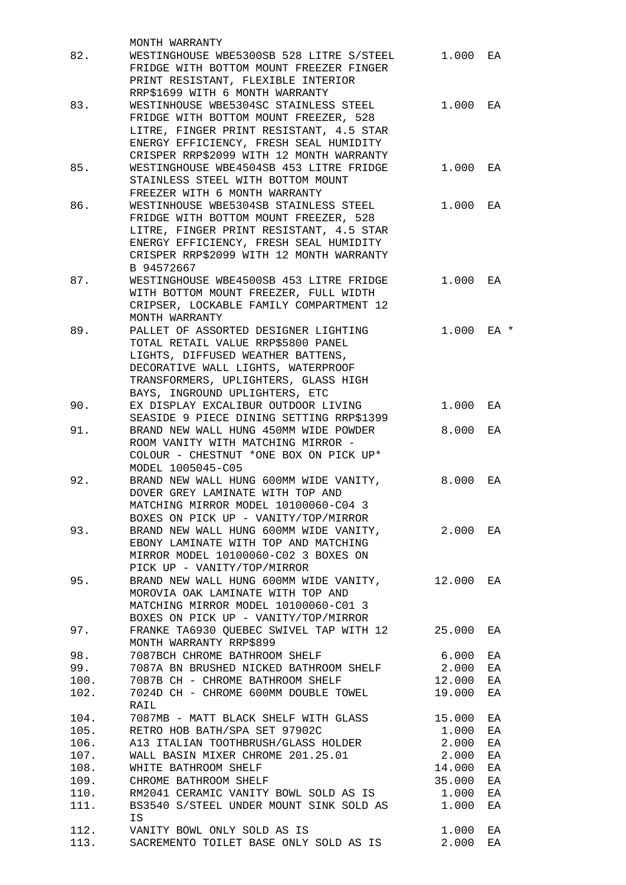|              | MONTH WARRANTY                                                                   |                |          |
|--------------|----------------------------------------------------------------------------------|----------------|----------|
| 82.          | WESTINGHOUSE WBE5300SB 528 LITRE S/STEEL                                         | 1.000          | EA       |
|              | FRIDGE WITH BOTTOM MOUNT FREEZER FINGER                                          |                |          |
|              | PRINT RESISTANT, FLEXIBLE INTERIOR                                               |                |          |
| 83.          | RRP\$1699 WITH 6 MONTH WARRANTY<br>WESTINHOUSE WBE5304SC STAINLESS STEEL         | 1.000          |          |
|              | FRIDGE WITH BOTTOM MOUNT FREEZER, 528                                            |                | EA       |
|              | LITRE, FINGER PRINT RESISTANT, 4.5 STAR                                          |                |          |
|              | ENERGY EFFICIENCY, FRESH SEAL HUMIDITY                                           |                |          |
|              | CRISPER RRP\$2099 WITH 12 MONTH WARRANTY                                         |                |          |
| 85.          | WESTINGHOUSE WBE4504SB 453 LITRE FRIDGE                                          | 1.000          | EA       |
|              | STAINLESS STEEL WITH BOTTOM MOUNT                                                |                |          |
|              | FREEZER WITH 6 MONTH WARRANTY                                                    |                |          |
| 86.          | WESTINHOUSE WBE5304SB STAINLESS STEEL                                            | 1.000 EA       |          |
|              | FRIDGE WITH BOTTOM MOUNT FREEZER, 528                                            |                |          |
|              | LITRE, FINGER PRINT RESISTANT, 4.5 STAR                                          |                |          |
|              | ENERGY EFFICIENCY, FRESH SEAL HUMIDITY                                           |                |          |
|              | CRISPER RRP\$2099 WITH 12 MONTH WARRANTY                                         |                |          |
|              | B 94572667                                                                       |                |          |
| 87.          | WESTINGHOUSE WBE4500SB 453 LITRE FRIDGE                                          | 1.000          | EA       |
|              | WITH BOTTOM MOUNT FREEZER, FULL WIDTH<br>CRIPSER, LOCKABLE FAMILY COMPARTMENT 12 |                |          |
|              | MONTH WARRANTY                                                                   |                |          |
| 89.          | PALLET OF ASSORTED DESIGNER LIGHTING                                             | 1.000 EA *     |          |
|              | TOTAL RETAIL VALUE RRP\$5800 PANEL                                               |                |          |
|              | LIGHTS, DIFFUSED WEATHER BATTENS,                                                |                |          |
|              | DECORATIVE WALL LIGHTS, WATERPROOF                                               |                |          |
|              | TRANSFORMERS, UPLIGHTERS, GLASS HIGH                                             |                |          |
|              | BAYS, INGROUND UPLIGHTERS, ETC                                                   |                |          |
| 90.          | EX DISPLAY EXCALIBUR OUTDOOR LIVING                                              | 1.000          | EA       |
|              | SEASIDE 9 PIECE DINING SETTING RRP\$1399                                         |                |          |
| 91.          | BRAND NEW WALL HUNG 450MM WIDE POWDER                                            | 8.000          | EA       |
|              | ROOM VANITY WITH MATCHING MIRROR -                                               |                |          |
|              | COLOUR - CHESTNUT *ONE BOX ON PICK UP*                                           |                |          |
|              | MODEL 1005045-C05                                                                |                |          |
| 92.          | BRAND NEW WALL HUNG 600MM WIDE VANITY,                                           | 8.000          | ЕA       |
|              | DOVER GREY LAMINATE WITH TOP AND<br>MATCHING MIRROR MODEL 10100060-C04 3         |                |          |
|              | BOXES ON PICK UP - VANITY/TOP/MIRROR                                             |                |          |
| 93.          | BRAND NEW WALL HUNG 600MM WIDE VANITY, 2.000 EA                                  |                |          |
|              | EBONY LAMINATE WITH TOP AND MATCHING                                             |                |          |
|              | MIRROR MODEL 10100060-C02 3 BOXES ON                                             |                |          |
|              | PICK UP - VANITY/TOP/MIRROR                                                      |                |          |
| 95.          | BRAND NEW WALL HUNG 600MM WIDE VANITY, 12.000 EA                                 |                |          |
|              | MOROVIA OAK LAMINATE WITH TOP AND                                                |                |          |
|              | MATCHING MIRROR MODEL 10100060-C01 3                                             |                |          |
|              | BOXES ON PICK UP - VANITY/TOP/MIRROR                                             |                |          |
| 97.          | FRANKE TA6930 QUEBEC SWIVEL TAP WITH 12 25.000                                   |                | ЕA       |
|              | MONTH WARRANTY RRP\$899                                                          |                |          |
| 98.          | 7087BCH CHROME BATHROOM SHELF                                                    | 6.000          | ΕA       |
|              | 99. 7087A BN BRUSHED NICKED BATHROOM SHELF 2.000                                 |                | ΕA       |
|              | 100. 7087B CH - CHROME BATHROOM SHELF                                            | 12.000         | ΕA       |
| 102.         | 7024D CH - CHROME 600MM DOUBLE TOWEL                                             | 19.000         | ΕA       |
|              | RAIL                                                                             |                |          |
| 104.         | 7087MB - MATT BLACK SHELF WITH GLASS                                             | 15.000         | ΕA       |
| 105.<br>106. | RETRO HOB BATH/SPA SET 97902C<br>A13 ITALIAN TOOTHBRUSH/GLASS HOLDER             | 1.000<br>2.000 | ΕA<br>ΕA |
| 107.         | WALL BASIN MIXER CHROME 201.25.01                                                | 2.000          | ΕA       |
| 108.         | WHITE BATHROOM SHELF                                                             | 14.000         | ΕA       |
| 109.         | CHROME BATHROOM SHELF                                                            | 35.000         | ΕA       |
| 110.         | RM2041 CERAMIC VANITY BOWL SOLD AS IS 1.000                                      |                | ΕA       |
| 111.         | BS3540 S/STEEL UNDER MOUNT SINK SOLD AS 1.000                                    |                | ΕA       |
|              | ΙS                                                                               |                |          |
| 112.         | VANITY BOWL ONLY SOLD AS IS                                                      | 1.000          | ΕA       |
| 113.         | SACREMENTO TOILET BASE ONLY SOLD AS IS                                           | 2.000          | ΕA       |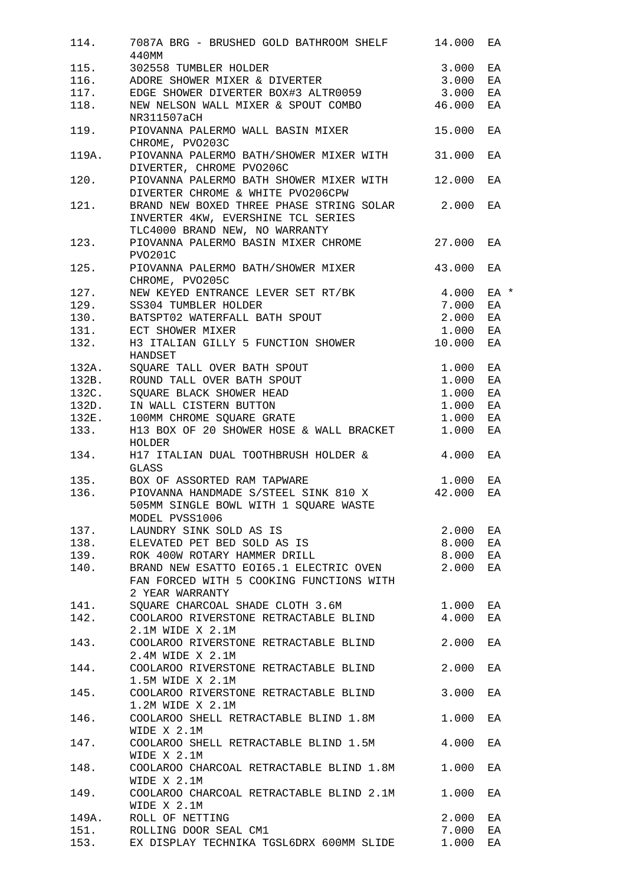| 114.  | 7087A BRG - BRUSHED GOLD BATHROOM SHELF 14.000 EA<br>440MM                                                                                                                                                                                |          |    |
|-------|-------------------------------------------------------------------------------------------------------------------------------------------------------------------------------------------------------------------------------------------|----------|----|
|       |                                                                                                                                                                                                                                           |          | ΕA |
|       |                                                                                                                                                                                                                                           |          | EA |
|       |                                                                                                                                                                                                                                           |          |    |
|       | 115. 302558 TUMBLER HOLDER<br>116. ADORE SHOWER MIXER & DIVERTER 3.000<br>117. EDGE SHOWER DIVERTER BOX#3 ALTR0059 3.000<br>117. EDGE SHOWER DIVERTER BOX#3 ALTR0059 3.000                                                                |          | EA |
|       | 118. NEW NELSON WALL MIXER & SPOUT COMBO 46.000<br>NR311507aCH                                                                                                                                                                            |          | EA |
| 119.  | PIOVANNA PALERMO WALL BASIN MIXER<br>CHROME, PVO203C                                                                                                                                                                                      | 15.000   | ЕA |
| 119A. | PIOVANNA PALERMO BATH/SHOWER MIXER WITH 31.000<br>DIVERTER, CHROME PVO206C                                                                                                                                                                |          | ΕA |
| 120.  | PIOVANNA PALERMO BATH SHOWER MIXER WITH 12.000<br>DIVERTER CHROME & WHITE PVO206CPW                                                                                                                                                       |          | EA |
| 121.  | BRAND NEW BOXED THREE PHASE STRING SOLAR 2.000<br>INVERTER 4KW, EVERSHINE TCL SERIES<br>TLC4000 BRAND NEW, NO WARRANTY<br>PIOVANNA PALERMO BASIN MIXER CHROME 27.000 EA                                                                   |          | EA |
| 123.  | PVO201C                                                                                                                                                                                                                                   |          |    |
|       | 125. PIOVANNA PALERMO BATH/SHOWER MIXER 43.000<br>CHROME, PVO205C                                                                                                                                                                         |          | EA |
|       |                                                                                                                                                                                                                                           |          |    |
|       |                                                                                                                                                                                                                                           |          |    |
|       |                                                                                                                                                                                                                                           |          |    |
|       |                                                                                                                                                                                                                                           |          |    |
|       |                                                                                                                                                                                                                                           |          |    |
|       | 127. NEW KEYED ENTRANCE LEVER SET RT/BK 4.000 EA *<br>129. SS304 TUMBLER HOLDER 7.000 EA<br>130. BATSPT02 WATERFALL BATH SPOUT 2.000 EA<br>131. ECT SHOWER MIXER 1.000 EA<br>132. H3 ITALIAN GILLY 5 FUNCTION SHOWER 10.000 EA<br>HANDSET |          |    |
|       | HANDSET<br>132A. SQUARE TALL OVER BATH SPOUT<br>132B. ROUND TALL OVER BATH SPOUT<br>132C. SQUARE BLACK SHOWER HEAD<br>132D. IN WALL CISTERN BUTTON<br>132D. IN WALL CISTERN BUTTON<br>132E. 100MM CHROME SQUARE GRATE<br>1.000            |          | EA |
|       |                                                                                                                                                                                                                                           |          | ΕA |
|       |                                                                                                                                                                                                                                           |          | ΕA |
|       |                                                                                                                                                                                                                                           |          | EA |
|       |                                                                                                                                                                                                                                           |          | EA |
|       |                                                                                                                                                                                                                                           |          |    |
|       | 133. H13 BOX OF 20 SHOWER HOSE & WALL BRACKET 1.000<br>HOLDER<br>134. H17 ITALIAN DUAL TOOTHBRUSH HOLDER & 4.000                                                                                                                          |          | ЕA |
|       | GLASS                                                                                                                                                                                                                                     |          | ΕA |
|       | 135. BOX OF ASSORTED RAM TAPWARE 1.000                                                                                                                                                                                                    |          | ΕA |
|       | 136. PIOVANNA HANDMADE S/STEEL SINK 810 X 42.000<br>505MM SINGLE BOWL WITH 1 SQUARE WASTE<br>MODEL PVSS1006                                                                                                                               |          | ΕA |
|       |                                                                                                                                                                                                                                           |          |    |
|       | 137. LAUNDRY SINK SOLD AS IS<br>138. ELEVATED PET BED SOLD AS IS 8.000 EA<br>139. ROK 400W ROTARY HAMMER DRILL 8.000 EA                                                                                                                   |          |    |
|       |                                                                                                                                                                                                                                           |          |    |
|       |                                                                                                                                                                                                                                           |          |    |
|       | 140. BRAND NEW ESATTO EOI65.1 ELECTRIC OVEN 2.000 EA<br>FAN FORCED WITH 5 COOKING FUNCTIONS WITH<br>2 YEAR WARRANTY                                                                                                                       |          |    |
|       | 141. SQUARE CHARCOAL SHADE CLOTH 3.6M 1.000 EA                                                                                                                                                                                            |          |    |
|       | 142. COOLAROO RIVERSTONE RETRACTABLE BLIND 4.000<br>2.1M WIDE X 2.1M                                                                                                                                                                      |          | ΕA |
|       | 143. COOLAROO RIVERSTONE RETRACTABLE BLIND 2.000 EA<br>2.4M WIDE X 2.1M                                                                                                                                                                   |          |    |
|       | 144. COOLAROO RIVERSTONE RETRACTABLE BLIND 2.000<br>1.5M WIDE X 2.1M                                                                                                                                                                      |          | ΕA |
|       | 145. COOLAROO RIVERSTONE RETRACTABLE BLIND 3.000<br>1.2M WIDE X 2.1M                                                                                                                                                                      |          | ЕA |
|       | 146. COOLAROO SHELL RETRACTABLE BLIND 1.8M 1.000 EA<br>WIDE X 2.1M                                                                                                                                                                        |          |    |
| 147.  | COOLAROO SHELL RETRACTABLE BLIND 1.5M 4.000<br>WIDE X 2.1M                                                                                                                                                                                |          | ΕA |
| 148.  | COOLAROO CHARCOAL RETRACTABLE BLIND 1.8M 1.000 EA<br>WIDE X 2.1M                                                                                                                                                                          |          |    |
| 149.  | COOLAROO CHARCOAL RETRACTABLE BLIND 2.1M 1.000 EA<br>WIDE X 2.1M                                                                                                                                                                          |          |    |
|       | 149A. ROLL OF NETTING                                                                                                                                                                                                                     | 2.000 EA |    |
|       | 151. ROLLING DOOR SEAL CM1                                                                                                                                                                                                                | 7.000 EA |    |
|       | 153. EX DISPLAY TECHNIKA TGSL6DRX 600MM SLIDE 1.000 EA                                                                                                                                                                                    |          |    |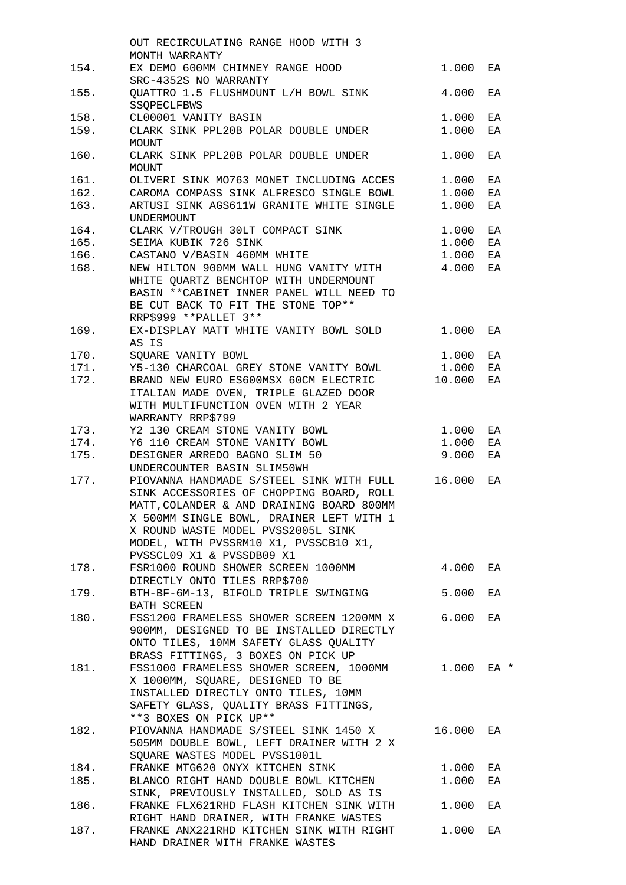|      | OUT RECIRCULATING RANGE HOOD WITH 3       |        |      |
|------|-------------------------------------------|--------|------|
|      | MONTH WARRANTY                            |        |      |
| 154. | EX DEMO 600MM CHIMNEY RANGE HOOD          | 1.000  | EA   |
|      | SRC-4352S NO WARRANTY                     |        |      |
| 155. | QUATTRO 1.5 FLUSHMOUNT L/H BOWL SINK      | 4.000  | EA   |
|      | <b>SSOPECLFBWS</b>                        |        |      |
| 158. | CL00001 VANITY BASIN                      | 1.000  | EA   |
| 159. | CLARK SINK PPL20B POLAR DOUBLE UNDER      | 1.000  | ΕA   |
|      | MOUNT                                     |        |      |
| 160. | CLARK SINK PPL20B POLAR DOUBLE UNDER      | 1.000  | EA   |
|      | MOUNT                                     |        |      |
| 161. | OLIVERI SINK MO763 MONET INCLUDING ACCES  | 1,000  | ΕA   |
| 162. | CAROMA COMPASS SINK ALFRESCO SINGLE BOWL  |        |      |
|      |                                           | 1.000  | ΕA   |
| 163. | ARTUSI SINK AGS611W GRANITE WHITE SINGLE  | 1.000  | ΕA   |
|      | <b>UNDERMOUNT</b>                         |        |      |
| 164. | CLARK V/TROUGH 30LT COMPACT SINK          | 1.000  | EA   |
| 165. | SEIMA KUBIK 726 SINK                      | 1.000  | EA   |
|      | 166. CASTANO V/BASIN 460MM WHITE          | 1.000  | ΕA   |
| 168. | NEW HILTON 900MM WALL HUNG VANITY WITH    | 4.000  | ΕA   |
|      | WHITE QUARTZ BENCHTOP WITH UNDERMOUNT     |        |      |
|      | BASIN ** CABINET INNER PANEL WILL NEED TO |        |      |
|      | BE CUT BACK TO FIT THE STONE TOP**        |        |      |
|      | RRP\$999 ** PALLET 3**                    |        |      |
| 169. | EX-DISPLAY MATT WHITE VANITY BOWL SOLD    | 1.000  | ЕA   |
|      | AS IS                                     |        |      |
|      |                                           |        |      |
| 170. | SQUARE VANITY BOWL                        | 1.000  | ΕA   |
| 171. | Y5-130 CHARCOAL GREY STONE VANITY BOWL    | 1.000  | ΕA   |
| 172. | BRAND NEW EURO ES600MSX 60CM ELECTRIC     | 10.000 | ΕA   |
|      | ITALIAN MADE OVEN, TRIPLE GLAZED DOOR     |        |      |
|      | WITH MULTIFUNCTION OVEN WITH 2 YEAR       |        |      |
|      | WARRANTY RRP\$799                         |        |      |
| 173. | Y2 130 CREAM STONE VANITY BOWL            | 1.000  | EA   |
| 174. | Y6 110 CREAM STONE VANITY BOWL            | 1.000  | ΕA   |
| 175. | DESIGNER ARREDO BAGNO SLIM 50             | 9.000  | ΕA   |
|      | UNDERCOUNTER BASIN SLIM50WH               |        |      |
| 177. | PIOVANNA HANDMADE S/STEEL SINK WITH FULL  | 16.000 | ЕA   |
|      | SINK ACCESSORIES OF CHOPPING BOARD, ROLL  |        |      |
|      | MATT, COLANDER & AND DRAINING BOARD 800MM |        |      |
|      | X 500MM SINGLE BOWL, DRAINER LEFT WITH 1  |        |      |
|      |                                           |        |      |
|      | X ROUND WASTE MODEL PVSS2005L SINK        |        |      |
|      | MODEL, WITH PVSSRM10 X1, PVSSCB10 X1,     |        |      |
|      | PVSSCL09 X1 & PVSSDB09 X1                 |        |      |
| 178. | FSR1000 ROUND SHOWER SCREEN 1000MM        | 4.000  | EA   |
|      | DIRECTLY ONTO TILES RRP\$700              |        |      |
| 179. | BTH-BF-6M-13, BIFOLD TRIPLE SWINGING      | 5.000  | ΕA   |
|      | BATH SCREEN                               |        |      |
| 180. | FSS1200 FRAMELESS SHOWER SCREEN 1200MM X  | 6.000  | ΕA   |
|      | 900MM, DESIGNED TO BE INSTALLED DIRECTLY  |        |      |
|      | ONTO TILES, 10MM SAFETY GLASS QUALITY     |        |      |
|      | BRASS FITTINGS, 3 BOXES ON PICK UP        |        |      |
| 181. | FSS1000 FRAMELESS SHOWER SCREEN, 1000MM   | 1.000  | EA * |
|      | X 1000MM, SQUARE, DESIGNED TO BE          |        |      |
|      | INSTALLED DIRECTLY ONTO TILES, 10MM       |        |      |
|      | SAFETY GLASS, QUALITY BRASS FITTINGS,     |        |      |
|      |                                           |        |      |
|      | **3 BOXES ON PICK UP**                    |        |      |
| 182. | PIOVANNA HANDMADE S/STEEL SINK 1450 X     | 16.000 | EA   |
|      | 505MM DOUBLE BOWL, LEFT DRAINER WITH 2 X  |        |      |
|      | SQUARE WASTES MODEL PVSS1001L             |        |      |
| 184. | FRANKE MTG620 ONYX KITCHEN SINK           | 1.000  | ΕA   |
| 185. | BLANCO RIGHT HAND DOUBLE BOWL KITCHEN     | 1.000  | ΕA   |
|      | SINK, PREVIOUSLY INSTALLED, SOLD AS IS    |        |      |
| 186. | FRANKE FLX621RHD FLASH KITCHEN SINK WITH  | 1.000  | ΕA   |
|      | RIGHT HAND DRAINER, WITH FRANKE WASTES    |        |      |
| 187. | FRANKE ANX221RHD KITCHEN SINK WITH RIGHT  | 1.000  | ЕA   |
|      | HAND DRAINER WITH FRANKE WASTES           |        |      |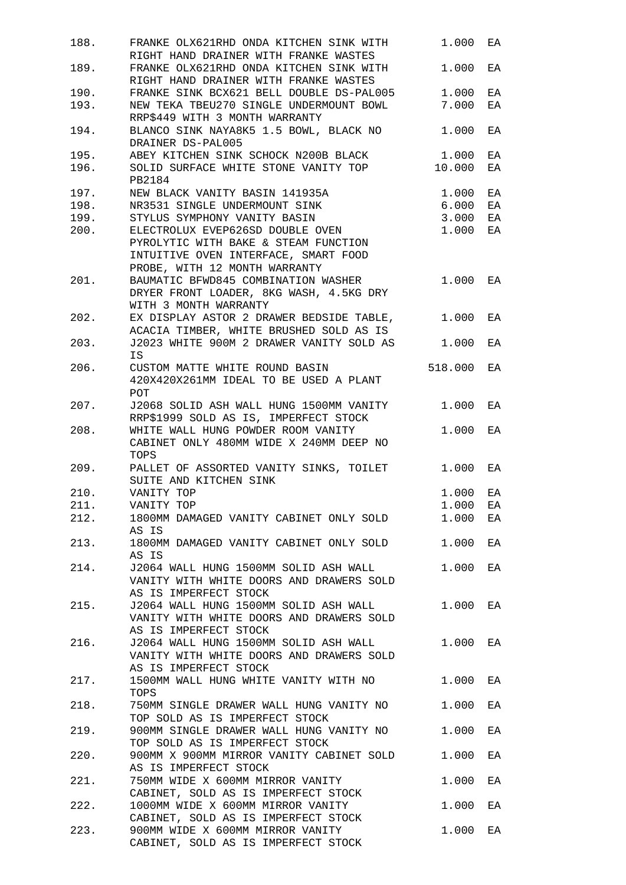| 188. | FRANKE OLX621RHD ONDA KITCHEN SINK WITH                                          | 1.000   | EA |
|------|----------------------------------------------------------------------------------|---------|----|
|      | RIGHT HAND DRAINER WITH FRANKE WASTES                                            |         |    |
| 189. | FRANKE OLX621RHD ONDA KITCHEN SINK WITH<br>RIGHT HAND DRAINER WITH FRANKE WASTES | 1.000   | EA |
| 190. | FRANKE SINK BCX621 BELL DOUBLE DS-PAL005                                         | 1.000   | EA |
| 193. | NEW TEKA TBEU270 SINGLE UNDERMOUNT BOWL                                          | 7.000   | EA |
|      | RRP\$449 WITH 3 MONTH WARRANTY                                                   |         |    |
| 194. | BLANCO SINK NAYA8K5 1.5 BOWL, BLACK NO<br>DRAINER DS-PAL005                      | 1.000   | ΕA |
| 195. | ABEY KITCHEN SINK SCHOCK N200B BLACK                                             | 1.000   | EA |
| 196. | SOLID SURFACE WHITE STONE VANITY TOP                                             | 10.000  | EA |
|      | PB2184                                                                           |         |    |
| 197. | NEW BLACK VANITY BASIN 141935A                                                   | 1.000   | EA |
| 198. | NR3531 SINGLE UNDERMOUNT SINK                                                    | 6.000   | EA |
| 199. | STYLUS SYMPHONY VANITY BASIN                                                     | 3.000   | EA |
| 200. | ELECTROLUX EVEP626SD DOUBLE OVEN                                                 | 1.000   | EA |
|      | PYROLYTIC WITH BAKE & STEAM FUNCTION<br>INTUITIVE OVEN INTERFACE, SMART FOOD     |         |    |
|      | PROBE, WITH 12 MONTH WARRANTY                                                    |         |    |
| 201. | BAUMATIC BFWD845 COMBINATION WASHER                                              | 1.000   | EA |
|      | DRYER FRONT LOADER, 8KG WASH, 4.5KG DRY<br>WITH 3 MONTH WARRANTY                 |         |    |
| 202. | EX DISPLAY ASTOR 2 DRAWER BEDSIDE TABLE,                                         | 1.000   | EA |
|      | ACACIA TIMBER, WHITE BRUSHED SOLD AS IS                                          |         |    |
| 203. | J2023 WHITE 900M 2 DRAWER VANITY SOLD AS                                         | 1.000   | EA |
|      | IS                                                                               |         |    |
| 206. | CUSTOM MATTE WHITE ROUND BASIN                                                   | 518.000 | EA |
|      | 420X420X261MM IDEAL TO BE USED A PLANT                                           |         |    |
|      | POT.                                                                             |         |    |
| 207. | J2068 SOLID ASH WALL HUNG 1500MM VANITY                                          | 1.000   | EA |
|      | RRP\$1999 SOLD AS IS, IMPERFECT STOCK                                            |         |    |
| 208. | WHITE WALL HUNG POWDER ROOM VANITY                                               | 1.000   | EA |
|      | CABINET ONLY 480MM WIDE X 240MM DEEP NO                                          |         |    |
|      | TOPS                                                                             |         |    |
| 209. | PALLET OF ASSORTED VANITY SINKS, TOILET                                          | 1.000   | EA |
|      | SUITE AND KITCHEN SINK                                                           |         |    |
| 210. | VANITY TOP                                                                       | 1.000   | EA |
| 211. | VANITY TOP                                                                       | 1.000   | EA |
| 212. | 1800MM DAMAGED VANITY CABINET ONLY SOLD                                          | 1.000   | EA |
|      | AS IS                                                                            |         |    |
| 213. | 1800MM DAMAGED VANITY CABINET ONLY SOLD                                          | 1.000   | EA |
|      | AS IS                                                                            |         |    |
| 214. | J2064 WALL HUNG 1500MM SOLID ASH WALL                                            | 1.000   | EA |
|      | VANITY WITH WHITE DOORS AND DRAWERS SOLD                                         |         |    |
|      | AS IS IMPERFECT STOCK                                                            |         |    |
| 215. | J2064 WALL HUNG 1500MM SOLID ASH WALL                                            | 1.000   | EA |
|      | VANITY WITH WHITE DOORS AND DRAWERS SOLD                                         |         |    |
|      | AS IS IMPERFECT STOCK                                                            |         |    |
| 216. | J2064 WALL HUNG 1500MM SOLID ASH WALL                                            | 1.000   | EA |
|      | VANITY WITH WHITE DOORS AND DRAWERS SOLD                                         |         |    |
|      | AS IS IMPERFECT STOCK                                                            |         |    |
| 217. | 1500MM WALL HUNG WHITE VANITY WITH NO                                            | 1.000   | EA |
|      | TOPS                                                                             |         |    |
| 218. | 750MM SINGLE DRAWER WALL HUNG VANITY NO                                          | 1.000   | EA |
|      | TOP SOLD AS IS IMPERFECT STOCK                                                   |         |    |
| 219. | 900MM SINGLE DRAWER WALL HUNG VANITY NO                                          | 1.000   | EA |
|      | TOP SOLD AS IS IMPERFECT STOCK                                                   |         |    |
| 220. | 900MM X 900MM MIRROR VANITY CABINET SOLD                                         | 1.000   | EA |
| 221. | AS IS IMPERFECT STOCK<br>750MM WIDE X 600MM MIRROR VANITY                        |         |    |
|      | CABINET, SOLD AS IS IMPERFECT STOCK                                              | 1.000   | EA |
| 222. | 1000MM WIDE X 600MM MIRROR VANITY                                                | 1.000   | EA |
|      | CABINET, SOLD AS IS IMPERFECT STOCK                                              |         |    |
| 223. | 900MM WIDE X 600MM MIRROR VANITY                                                 | 1.000   | EA |
|      | CABINET, SOLD AS IS IMPERFECT STOCK                                              |         |    |
|      |                                                                                  |         |    |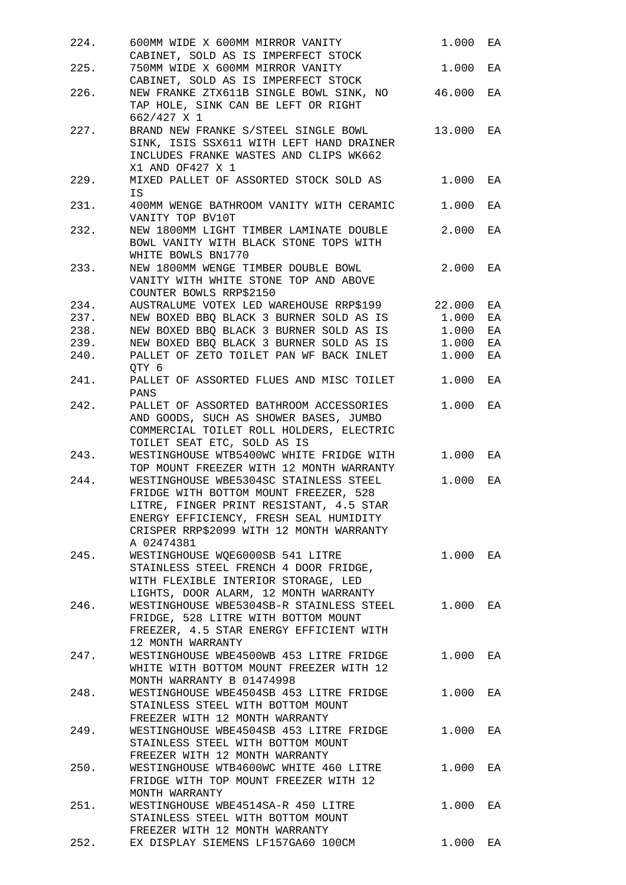| 224. | 600MM WIDE X 600MM MIRROR VANITY                                                                                  | 1.000    | EA |
|------|-------------------------------------------------------------------------------------------------------------------|----------|----|
|      | CABINET, SOLD AS IS IMPERFECT STOCK                                                                               |          |    |
| 225. | 750MM WIDE X 600MM MIRROR VANITY                                                                                  | 1.000    | EA |
|      | CABINET, SOLD AS IS IMPERFECT STOCK                                                                               |          |    |
| 226. | NEW FRANKE ZTX611B SINGLE BOWL SINK, NO 46.000<br>TAP HOLE, SINK CAN BE LEFT OR RIGHT<br>662/427 X 1              |          | EA |
| 227. | BRAND NEW FRANKE S/STEEL SINGLE BOWL 13.000                                                                       |          | EA |
|      | SINK, ISIS SSX611 WITH LEFT HAND DRAINER<br>INCLUDES FRANKE WASTES AND CLIPS WK662<br>X1 AND OF427 X 1            |          |    |
| 229. | MIXED PALLET OF ASSORTED STOCK SOLD AS<br>IS                                                                      | 1.000    | EA |
| 231. | 400MM WENGE BATHROOM VANITY WITH CERAMIC<br>VANITY TOP BV10T                                                      | 1.000    | EA |
| 232. | NEW 1800MM LIGHT TIMBER LAMINATE DOUBLE                                                                           | 2.000    | EA |
|      | BOWL VANITY WITH BLACK STONE TOPS WITH<br>WHITE BOWLS BN1770                                                      |          |    |
| 233. | NEW 1800MM WENGE TIMBER DOUBLE BOWL                                                                               | 2.000    | EA |
|      | VANITY WITH WHITE STONE TOP AND ABOVE<br>COUNTER BOWLS RRP\$2150                                                  |          |    |
| 234. | AUSTRALUME VOTEX LED WAREHOUSE RRP\$199                                                                           | 22.000   | EA |
| 237. | NEW BOXED BBQ BLACK 3 BURNER SOLD AS IS                                                                           | 1.000    | EA |
| 238. | NEW BOXED BBQ BLACK 3 BURNER SOLD AS IS                                                                           | 1.000    | EA |
| 239. | NEW BOXED BBQ BLACK 3 BURNER SOLD AS IS                                                                           | 1.000    | ΕA |
|      |                                                                                                                   |          |    |
| 240. | PALLET OF ZETO TOILET PAN WF BACK INLET<br>QTY 6                                                                  | 1.000    | ΕA |
| 241. | PALLET OF ASSORTED FLUES AND MISC TOILET<br>PANS                                                                  | 1.000    | EA |
| 242. | PALLET OF ASSORTED BATHROOM ACCESSORIES                                                                           | 1.000    | EA |
|      | AND GOODS, SUCH AS SHOWER BASES, JUMBO<br>COMMERCIAL TOILET ROLL HOLDERS, ELECTRIC<br>TOILET SEAT ETC, SOLD AS IS |          |    |
| 243. | WESTINGHOUSE WTB5400WC WHITE FRIDGE WITH<br>TOP MOUNT FREEZER WITH 12 MONTH WARRANTY                              | 1.000    | EA |
| 244. | WESTINGHOUSE WBE5304SC STAINLESS STEEL<br>FRIDGE WITH BOTTOM MOUNT FREEZER, 528                                   | 1.000    | EA |
|      | LITRE, FINGER PRINT RESISTANT, 4.5 STAR                                                                           |          |    |
|      | ENERGY EFFICIENCY, FRESH SEAL HUMIDITY<br>CRISPER RRP\$2099 WITH 12 MONTH WARRANTY                                |          |    |
|      | A 02474381                                                                                                        |          |    |
| 245. | WESTINGHOUSE WQE6000SB 541 LITRE<br>STAINLESS STEEL FRENCH 4 DOOR FRIDGE,                                         | 1.000 EA |    |
|      | WITH FLEXIBLE INTERIOR STORAGE, LED<br>LIGHTS, DOOR ALARM, 12 MONTH WARRANTY                                      |          |    |
| 246. | WESTINGHOUSE WBE5304SB-R STAINLESS STEEL                                                                          | 1.000    | EA |
|      | FRIDGE, 528 LITRE WITH BOTTOM MOUNT<br>FREEZER, 4.5 STAR ENERGY EFFICIENT WITH                                    |          |    |
|      | 12 MONTH WARRANTY                                                                                                 |          |    |
| 247. | WESTINGHOUSE WBE4500WB 453 LITRE FRIDGE<br>WHITE WITH BOTTOM MOUNT FREEZER WITH 12                                | 1.000    | EA |
|      | MONTH WARRANTY B 01474998                                                                                         |          |    |
| 248. | WESTINGHOUSE WBE4504SB 453 LITRE FRIDGE<br>STAINLESS STEEL WITH BOTTOM MOUNT                                      | 1.000    | EA |
|      | FREEZER WITH 12 MONTH WARRANTY                                                                                    |          |    |
| 249. | WESTINGHOUSE WBE4504SB 453 LITRE FRIDGE                                                                           | 1.000    | EA |
|      | STAINLESS STEEL WITH BOTTOM MOUNT<br>FREEZER WITH 12 MONTH WARRANTY                                               |          |    |
| 250. | WESTINGHOUSE WTB4600WC WHITE 460 LITRE                                                                            | 1.000    | EA |
|      | FRIDGE WITH TOP MOUNT FREEZER WITH 12<br>MONTH WARRANTY                                                           |          |    |
| 251. | WESTINGHOUSE WBE4514SA-R 450 LITRE                                                                                | 1.000    | EA |
|      | STAINLESS STEEL WITH BOTTOM MOUNT<br>FREEZER WITH 12 MONTH WARRANTY                                               |          |    |
| 252. |                                                                                                                   | 1.000    | EA |
|      | EX DISPLAY SIEMENS LF157GA60 100CM                                                                                |          |    |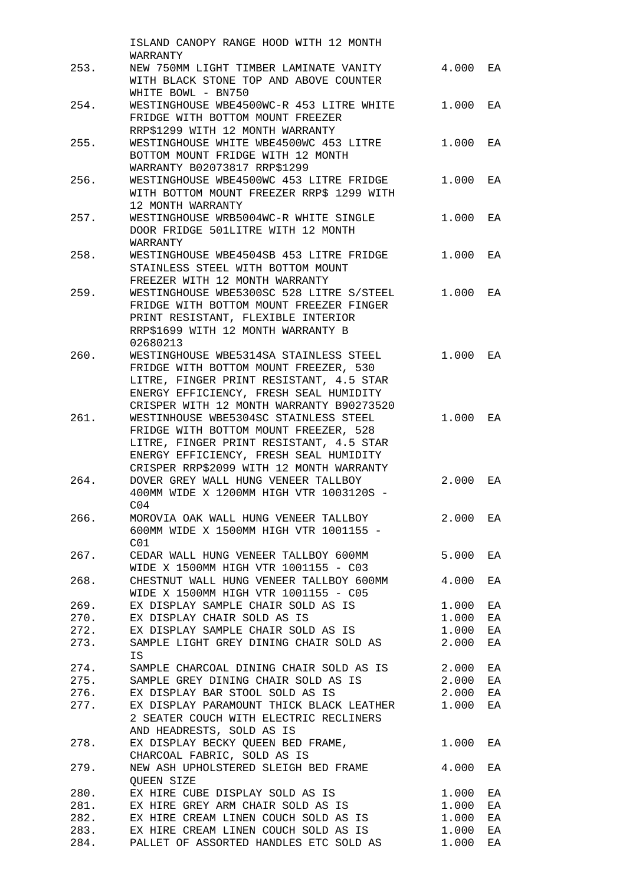|      | ISLAND CANOPY RANGE HOOD WITH 12 MONTH            |       |    |
|------|---------------------------------------------------|-------|----|
|      | WARRANTY                                          |       |    |
| 253. | NEW 750MM LIGHT TIMBER LAMINATE VANITY            | 4.000 | EA |
|      | WITH BLACK STONE TOP AND ABOVE COUNTER            |       |    |
|      | WHITE BOWL - BN750                                |       |    |
| 254. | WESTINGHOUSE WBE4500WC-R 453 LITRE WHITE          | 1.000 | EA |
|      | FRIDGE WITH BOTTOM MOUNT FREEZER                  |       |    |
|      | RRP\$1299 WITH 12 MONTH WARRANTY                  |       |    |
| 255. | WESTINGHOUSE WHITE WBE4500WC 453 LITRE            | 1.000 | EA |
|      | BOTTOM MOUNT FRIDGE WITH 12 MONTH                 |       |    |
|      | WARRANTY B02073817 RRP\$1299                      |       |    |
| 256. | WESTINGHOUSE WBE4500WC 453 LITRE FRIDGE           | 1.000 | EA |
|      | WITH BOTTOM MOUNT FREEZER RRP\$ 1299 WITH         |       |    |
|      | 12 MONTH WARRANTY                                 |       |    |
| 257. | WESTINGHOUSE WRB5004WC-R WHITE SINGLE             | 1.000 | EA |
|      | DOOR FRIDGE 501LITRE WITH 12 MONTH                |       |    |
|      | WARRANTY                                          |       |    |
| 258. | WESTINGHOUSE WBE4504SB 453 LITRE FRIDGE           | 1.000 | EA |
|      | STAINLESS STEEL WITH BOTTOM MOUNT                 |       |    |
|      | FREEZER WITH 12 MONTH WARRANTY                    |       |    |
| 259. | WESTINGHOUSE WBE5300SC 528 LITRE S/STEEL          | 1.000 | EA |
|      | FRIDGE WITH BOTTOM MOUNT FREEZER FINGER           |       |    |
|      | PRINT RESISTANT, FLEXIBLE INTERIOR                |       |    |
|      | RRP\$1699 WITH 12 MONTH WARRANTY B                |       |    |
|      | 02680213                                          |       |    |
| 260. |                                                   | 1.000 |    |
|      | WESTINGHOUSE WBE5314SA STAINLESS STEEL            |       | EA |
|      | FRIDGE WITH BOTTOM MOUNT FREEZER, 530             |       |    |
|      | LITRE, FINGER PRINT RESISTANT, 4.5 STAR           |       |    |
|      | ENERGY EFFICIENCY, FRESH SEAL HUMIDITY            |       |    |
|      | CRISPER WITH 12 MONTH WARRANTY B90273520          |       |    |
| 261. | WESTINHOUSE WBE5304SC STAINLESS STEEL             | 1.000 | EA |
|      | FRIDGE WITH BOTTOM MOUNT FREEZER, 528             |       |    |
|      | LITRE, FINGER PRINT RESISTANT, 4.5 STAR           |       |    |
|      | ENERGY EFFICIENCY, FRESH SEAL HUMIDITY            |       |    |
|      | CRISPER RRP\$2099 WITH 12 MONTH WARRANTY          |       |    |
| 264. | DOVER GREY WALL HUNG VENEER TALLBOY               | 2.000 | EA |
|      | 400MM WIDE X 1200MM HIGH VTR 1003120S -           |       |    |
|      | C04                                               |       |    |
| 266. | MOROVIA OAK WALL HUNG VENEER TALLBOY              | 2.000 | EA |
|      | 600MM WIDE X 1500MM HIGH VTR 1001155 -            |       |    |
|      | C <sub>01</sub>                                   |       |    |
| 267. | CEDAR WALL HUNG VENEER TALLBOY 600MM              | 5.000 | EA |
|      | WIDE X 1500MM HIGH VTR 1001155 - C03              |       |    |
|      | 268. CHESTNUT WALL HUNG VENEER TALLBOY 600MM      | 4.000 | EA |
|      | WIDE X 1500MM HIGH VTR 1001155 - C05              |       |    |
|      | 269. EX DISPLAY SAMPLE CHAIR SOLD AS IS           | 1.000 | ЕA |
|      | 270. EX DISPLAY CHAIR SOLD AS IS                  | 1.000 | ΕA |
|      | 272. EX DISPLAY SAMPLE CHAIR SOLD AS IS           | 1.000 | ΕA |
|      | 273. SAMPLE LIGHT GREY DINING CHAIR SOLD AS       |       |    |
|      |                                                   | 2.000 | ΕA |
|      | IS                                                |       |    |
| 274. | SAMPLE CHARCOAL DINING CHAIR SOLD AS IS           | 2.000 | ΕA |
|      | 275. SAMPLE GREY DINING CHAIR SOLD AS IS<br>2.000 |       | ЕA |
|      | 276. EX DISPLAY BAR STOOL SOLD AS IS              | 2.000 | ΕA |
| 277. | EX DISPLAY PARAMOUNT THICK BLACK LEATHER          | 1.000 | ΕA |
|      | 2 SEATER COUCH WITH ELECTRIC RECLINERS            |       |    |
|      | AND HEADRESTS, SOLD AS IS                         |       |    |
| 278. | EX DISPLAY BECKY QUEEN BED FRAME,                 | 1.000 | EA |
|      | CHARCOAL FABRIC, SOLD AS IS                       |       |    |
| 279. | NEW ASH UPHOLSTERED SLEIGH BED FRAME              | 4.000 | ЕA |
|      | QUEEN SIZE                                        |       |    |
| 280. | EX HIRE CUBE DISPLAY SOLD AS IS                   | 1.000 | ЕA |
| 281. | EX HIRE GREY ARM CHAIR SOLD AS IS                 | 1.000 | ΕA |
| 282. | EX HIRE CREAM LINEN COUCH SOLD AS IS              | 1.000 | ΕA |
|      | 283. EX HIRE CREAM LINEN COUCH SOLD AS IS         | 1.000 | ΕA |
| 284. | PALLET OF ASSORTED HANDLES ETC SOLD AS            | 1.000 | ΕA |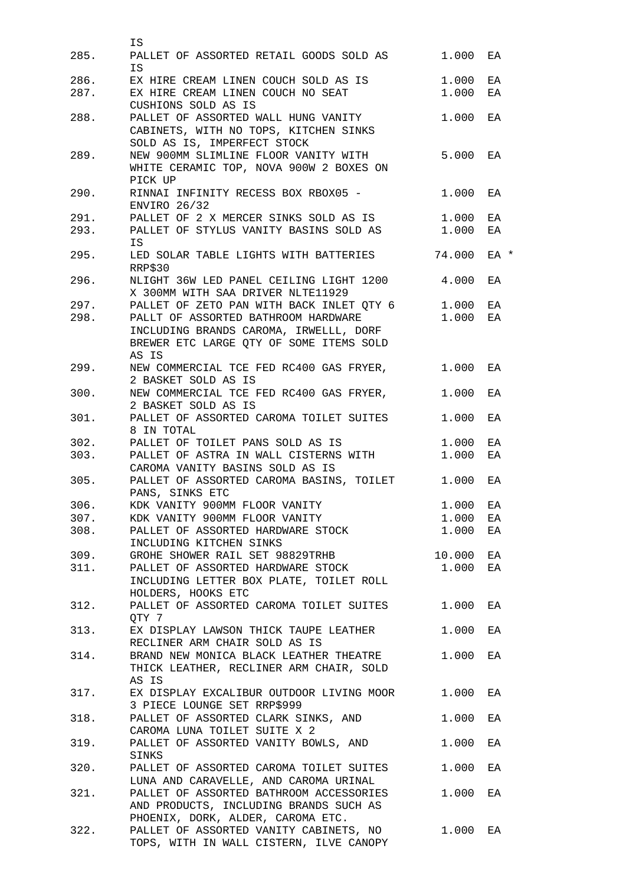| 285. | ΙS<br>PALLET OF ASSORTED RETAIL GOODS SOLD AS                                | 1.000  | ΕA   |
|------|------------------------------------------------------------------------------|--------|------|
|      | <b>IS</b>                                                                    |        |      |
| 286. | EX HIRE CREAM LINEN COUCH SOLD AS IS                                         | 1.000  | ΕA   |
| 287. | EX HIRE CREAM LINEN COUCH NO SEAT                                            | 1.000  | ΕA   |
|      | CUSHIONS SOLD AS IS                                                          |        |      |
| 288. | PALLET OF ASSORTED WALL HUNG VANITY                                          | 1.000  | EA   |
|      | CABINETS, WITH NO TOPS, KITCHEN SINKS                                        |        |      |
|      | SOLD AS IS, IMPERFECT STOCK                                                  |        |      |
| 289. | NEW 900MM SLIMLINE FLOOR VANITY WITH                                         | 5.000  | EA   |
|      | WHITE CERAMIC TOP, NOVA 900W 2 BOXES ON                                      |        |      |
|      | PICK UP                                                                      |        |      |
| 290. | RINNAI INFINITY RECESS BOX RBOX05 -                                          | 1.000  | EA   |
|      | ENVIRO 26/32                                                                 |        |      |
| 291. | PALLET OF 2 X MERCER SINKS SOLD AS IS                                        | 1.000  | EA   |
| 293. | PALLET OF STYLUS VANITY BASINS SOLD AS 1.000                                 |        | EA   |
|      | IS                                                                           |        |      |
| 295. | LED SOLAR TABLE LIGHTS WITH BATTERIES                                        | 74.000 | EA * |
|      | RRP\$30                                                                      |        |      |
| 296. | NLIGHT 36W LED PANEL CEILING LIGHT 1200                                      | 4.000  | EA   |
|      | X 300MM WITH SAA DRIVER NLTE11929                                            |        |      |
| 297. | PALLET OF ZETO PAN WITH BACK INLET QTY 6 1.000                               |        | EA   |
| 298. | PALLT OF ASSORTED BATHROOM HARDWARE                                          | 1.000  | EA   |
|      | INCLUDING BRANDS CAROMA, IRWELLL, DORF                                       |        |      |
|      | BREWER ETC LARGE QTY OF SOME ITEMS SOLD                                      |        |      |
|      | AS IS                                                                        |        |      |
| 299. | NEW COMMERCIAL TCE FED RC400 GAS FRYER,                                      | 1.000  | EA   |
|      | 2 BASKET SOLD AS IS                                                          |        |      |
| 300. | NEW COMMERCIAL TCE FED RC400 GAS FRYER,                                      | 1.000  | EA   |
|      | 2 BASKET SOLD AS IS                                                          |        |      |
| 301. | PALLET OF ASSORTED CAROMA TOILET SUITES                                      | 1.000  | EA   |
|      | 8 IN TOTAL                                                                   |        |      |
| 302. | PALLET OF TOILET PANS SOLD AS IS                                             | 1.000  | ЕA   |
| 303. | PALLET OF ASTRA IN WALL CISTERNS WITH                                        | 1.000  | ΕA   |
|      | CAROMA VANITY BASINS SOLD AS IS                                              |        |      |
| 305. | PALLET OF ASSORTED CAROMA BASINS, TOILET                                     | 1.000  | ΕA   |
|      | PANS, SINKS ETC                                                              |        |      |
| 306. | KDK VANITY 900MM FLOOR VANITY                                                | 1,000  | ΕA   |
| 307. | KDK VANITY 900MM FLOOR VANITY                                                | 1.000  | ΕA   |
| 308. | PALLET OF ASSORTED HARDWARE STOCK                                            | 1.000  | ЕA   |
|      |                                                                              |        |      |
| 309. | INCLUDING KITCHEN SINKS<br>GROHE SHOWER RAIL SET 98829TRHB                   | 10.000 |      |
|      |                                                                              |        | ΕA   |
| 311. | PALLET OF ASSORTED HARDWARE STOCK<br>INCLUDING LETTER BOX PLATE, TOILET ROLL | 1.000  | EA   |
|      |                                                                              |        |      |
|      | HOLDERS, HOOKS ETC                                                           |        |      |
| 312. | PALLET OF ASSORTED CAROMA TOILET SUITES                                      | 1.000  | ЕA   |
|      | OTY 7                                                                        |        |      |
| 313. | EX DISPLAY LAWSON THICK TAUPE LEATHER                                        | 1.000  | EA   |
|      | RECLINER ARM CHAIR SOLD AS IS                                                |        |      |
| 314. | BRAND NEW MONICA BLACK LEATHER THEATRE                                       | 1.000  | EA   |
|      | THICK LEATHER, RECLINER ARM CHAIR, SOLD                                      |        |      |
|      | AS IS                                                                        |        |      |
| 317. | EX DISPLAY EXCALIBUR OUTDOOR LIVING MOOR                                     | 1.000  | ЕA   |
|      | 3 PIECE LOUNGE SET RRP\$999                                                  |        |      |
| 318. | PALLET OF ASSORTED CLARK SINKS, AND                                          | 1.000  | ЕA   |
|      | CAROMA LUNA TOILET SUITE X 2                                                 |        |      |
| 319. | PALLET OF ASSORTED VANITY BOWLS, AND                                         | 1.000  | ЕA   |
|      | SINKS                                                                        |        |      |
| 320. | PALLET OF ASSORTED CAROMA TOILET SUITES                                      | 1.000  | ЕA   |
|      | LUNA AND CARAVELLE, AND CAROMA URINAL                                        |        |      |
| 321. | PALLET OF ASSORTED BATHROOM ACCESSORIES                                      | 1.000  | EA   |
|      | AND PRODUCTS, INCLUDING BRANDS SUCH AS                                       |        |      |
|      | PHOENIX, DORK, ALDER, CAROMA ETC.                                            |        |      |
| 322. | PALLET OF ASSORTED VANITY CABINETS, NO                                       | 1.000  | ЕA   |
|      | TOPS, WITH IN WALL CISTERN, ILVE CANOPY                                      |        |      |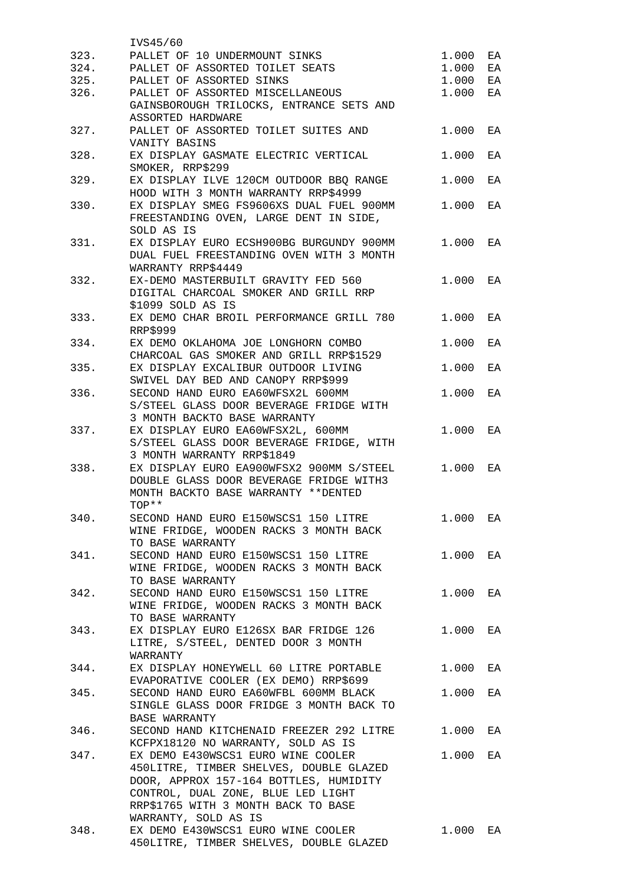|      | IVS45/60                                 |       |    |
|------|------------------------------------------|-------|----|
| 323. | PALLET OF 10 UNDERMOUNT SINKS            | 1.000 | EA |
| 324. | PALLET OF ASSORTED TOILET SEATS          | 1.000 | EA |
| 325. | PALLET OF ASSORTED SINKS                 | 1.000 | EA |
| 326. | PALLET OF ASSORTED MISCELLANEOUS         | 1.000 | EA |
|      | GAINSBOROUGH TRILOCKS, ENTRANCE SETS AND |       |    |
|      | ASSORTED HARDWARE                        |       |    |
| 327. | PALLET OF ASSORTED TOILET SUITES AND     | 1.000 | ΕA |
|      | VANITY BASINS                            |       |    |
| 328. | EX DISPLAY GASMATE ELECTRIC VERTICAL     | 1.000 | ΕA |
|      | SMOKER, RRP\$299                         |       |    |
| 329. | EX DISPLAY ILVE 120CM OUTDOOR BBQ RANGE  | 1.000 | ΕA |
|      | HOOD WITH 3 MONTH WARRANTY RRP\$4999     |       |    |
|      | EX DISPLAY SMEG FS9606XS DUAL FUEL 900MM | 1.000 |    |
| 330. |                                          |       | EA |
|      | FREESTANDING OVEN, LARGE DENT IN SIDE,   |       |    |
|      | SOLD AS IS                               |       |    |
| 331. | EX DISPLAY EURO ECSH900BG BURGUNDY 900MM | 1.000 | EA |
|      | DUAL FUEL FREESTANDING OVEN WITH 3 MONTH |       |    |
|      | WARRANTY RRP\$4449                       |       |    |
| 332. | EX-DEMO MASTERBUILT GRAVITY FED 560      | 1.000 | EA |
|      | DIGITAL CHARCOAL SMOKER AND GRILL RRP    |       |    |
|      | \$1099 SOLD AS IS                        |       |    |
| 333. | EX DEMO CHAR BROIL PERFORMANCE GRILL 780 | 1.000 | EA |
|      | <b>RRP\$999</b>                          |       |    |
| 334. | EX DEMO OKLAHOMA JOE LONGHORN COMBO      | 1.000 | EA |
|      | CHARCOAL GAS SMOKER AND GRILL RRP\$1529  |       |    |
| 335. | EX DISPLAY EXCALIBUR OUTDOOR LIVING      | 1.000 | EA |
|      | SWIVEL DAY BED AND CANOPY RRP\$999       |       |    |
| 336. | SECOND HAND EURO EA60WFSX2L 600MM        | 1.000 | EA |
|      | S/STEEL GLASS DOOR BEVERAGE FRIDGE WITH  |       |    |
|      | 3 MONTH BACKTO BASE WARRANTY             |       |    |
| 337. | EX DISPLAY EURO EA60WFSX2L, 600MM        | 1.000 | EA |
|      | S/STEEL GLASS DOOR BEVERAGE FRIDGE, WITH |       |    |
|      | 3 MONTH WARRANTY RRP\$1849               |       |    |
| 338. | EX DISPLAY EURO EA900WFSX2 900MM S/STEEL | 1.000 | EA |
|      | DOUBLE GLASS DOOR BEVERAGE FRIDGE WITH3  |       |    |
|      | MONTH BACKTO BASE WARRANTY **DENTED      |       |    |
|      | TOP**                                    |       |    |
| 340. | SECOND HAND EURO E150WSCS1 150 LITRE     | 1.000 | EA |
|      | WINE FRIDGE, WOODEN RACKS 3 MONTH BACK   |       |    |
|      | TO BASE WARRANTY                         |       |    |
| 341. | SECOND HAND EURO E150WSCS1 150 LITRE     | 1.000 | EA |
|      | WINE FRIDGE, WOODEN RACKS 3 MONTH BACK   |       |    |
|      | TO BASE WARRANTY                         |       |    |
| 342. | SECOND HAND EURO E150WSCS1 150 LITRE     | 1.000 | EA |
|      | WINE FRIDGE, WOODEN RACKS 3 MONTH BACK   |       |    |
|      | TO BASE WARRANTY                         |       |    |
| 343. | EX DISPLAY EURO E126SX BAR FRIDGE 126    | 1.000 | EA |
|      | LITRE, S/STEEL, DENTED DOOR 3 MONTH      |       |    |
|      | WARRANTY                                 |       |    |
| 344. | EX DISPLAY HONEYWELL 60 LITRE PORTABLE   | 1.000 | EA |
|      | EVAPORATIVE COOLER (EX DEMO) RRP\$699    |       |    |
|      |                                          |       |    |
| 345. | SECOND HAND EURO EA60WFBL 600MM BLACK    | 1.000 | EA |
|      | SINGLE GLASS DOOR FRIDGE 3 MONTH BACK TO |       |    |
|      | BASE WARRANTY                            |       |    |
| 346. | SECOND HAND KITCHENAID FREEZER 292 LITRE | 1.000 | EA |
|      | KCFPX18120 NO WARRANTY, SOLD AS IS       |       |    |
| 347. | EX DEMO E430WSCS1 EURO WINE COOLER       | 1.000 | EA |
|      | 450LITRE, TIMBER SHELVES, DOUBLE GLAZED  |       |    |
|      | DOOR, APPROX 157-164 BOTTLES, HUMIDITY   |       |    |
|      | CONTROL, DUAL ZONE, BLUE LED LIGHT       |       |    |
|      | RRP\$1765 WITH 3 MONTH BACK TO BASE      |       |    |
|      | WARRANTY, SOLD AS IS                     |       |    |
| 348. | EX DEMO E430WSCS1 EURO WINE COOLER       | 1.000 | EA |
|      | 450LITRE, TIMBER SHELVES, DOUBLE GLAZED  |       |    |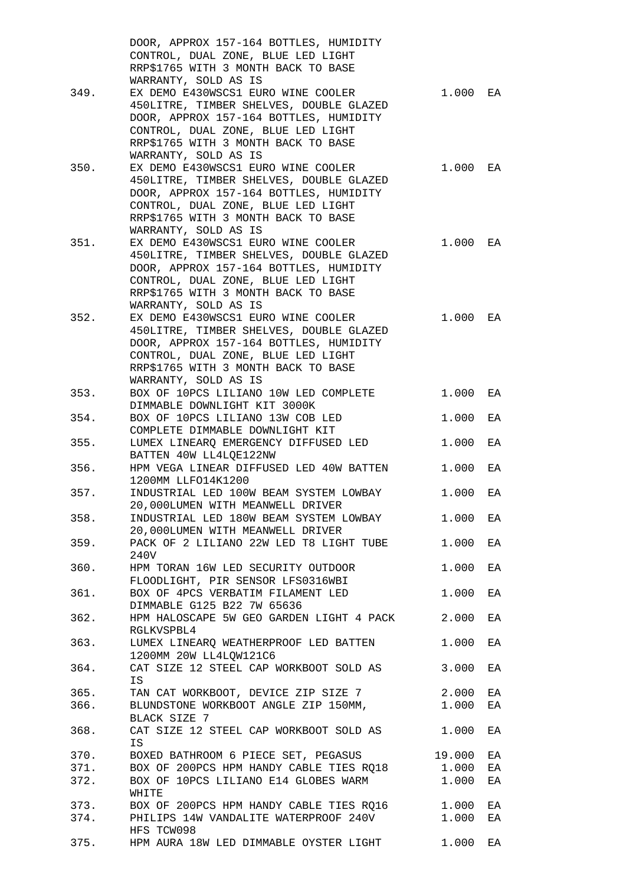|      | DOOR, APPROX 157-164 BOTTLES, HUMIDITY                                      |        |    |
|------|-----------------------------------------------------------------------------|--------|----|
|      | CONTROL, DUAL ZONE, BLUE LED LIGHT                                          |        |    |
|      | RRP\$1765 WITH 3 MONTH BACK TO BASE                                         |        |    |
|      | WARRANTY, SOLD AS IS                                                        |        |    |
| 349. | EX DEMO E430WSCS1 EURO WINE COOLER                                          | 1.000  | EA |
|      | 450LITRE, TIMBER SHELVES, DOUBLE GLAZED                                     |        |    |
|      | DOOR, APPROX 157-164 BOTTLES, HUMIDITY                                      |        |    |
|      | CONTROL, DUAL ZONE, BLUE LED LIGHT                                          |        |    |
|      | RRP\$1765 WITH 3 MONTH BACK TO BASE                                         |        |    |
|      | WARRANTY, SOLD AS IS                                                        |        |    |
| 350. | EX DEMO E430WSCS1 EURO WINE COOLER                                          | 1.000  | EA |
|      | 450LITRE, TIMBER SHELVES, DOUBLE GLAZED                                     |        |    |
|      | DOOR, APPROX 157-164 BOTTLES, HUMIDITY                                      |        |    |
|      | CONTROL, DUAL ZONE, BLUE LED LIGHT                                          |        |    |
|      | RRP\$1765 WITH 3 MONTH BACK TO BASE                                         |        |    |
|      | WARRANTY, SOLD AS IS                                                        |        |    |
| 351. | EX DEMO E430WSCS1 EURO WINE COOLER                                          | 1.000  | EA |
|      | 450LITRE, TIMBER SHELVES, DOUBLE GLAZED                                     |        |    |
|      | DOOR, APPROX 157-164 BOTTLES, HUMIDITY                                      |        |    |
|      | CONTROL, DUAL ZONE, BLUE LED LIGHT                                          |        |    |
|      | RRP\$1765 WITH 3 MONTH BACK TO BASE                                         |        |    |
|      | WARRANTY, SOLD AS IS                                                        |        |    |
| 352. | EX DEMO E430WSCS1 EURO WINE COOLER                                          | 1.000  | EA |
|      | 450LITRE, TIMBER SHELVES, DOUBLE GLAZED                                     |        |    |
|      | DOOR, APPROX 157-164 BOTTLES, HUMIDITY                                      |        |    |
|      | CONTROL, DUAL ZONE, BLUE LED LIGHT                                          |        |    |
|      | RRP\$1765 WITH 3 MONTH BACK TO BASE                                         |        |    |
|      | WARRANTY, SOLD AS IS                                                        |        |    |
| 353. | BOX OF 10PCS LILIANO 10W LED COMPLETE                                       | 1.000  | EA |
|      | DIMMABLE DOWNLIGHT KIT 3000K                                                |        |    |
| 354. | BOX OF 10PCS LILIANO 13W COB LED                                            | 1.000  | EA |
|      | COMPLETE DIMMABLE DOWNLIGHT KIT                                             |        |    |
| 355. | LUMEX LINEARQ EMERGENCY DIFFUSED LED                                        | 1.000  | EA |
|      | BATTEN 40W LL4LOE122NW                                                      |        |    |
| 356. | HPM VEGA LINEAR DIFFUSED LED 40W BATTEN                                     | 1.000  | EA |
|      | 1200MM LLFO14K1200                                                          |        |    |
| 357. | INDUSTRIAL LED 100W BEAM SYSTEM LOWBAY                                      | 1.000  | EA |
|      | 20,000LUMEN WITH MEANWELL DRIVER                                            |        |    |
| 358. | INDUSTRIAL LED 180W BEAM SYSTEM LOWBAY                                      | 1.000  | EA |
|      | 20,000LUMEN WITH MEANWELL DRIVER                                            |        |    |
| 359. | PACK OF 2 LILIANO 22W LED T8 LIGHT TUBE                                     | 1.000  | EA |
|      | 240V                                                                        |        |    |
| 360. | HPM TORAN 16W LED SECURITY OUTDOOR                                          | 1.000  | EA |
|      | FLOODLIGHT, PIR SENSOR LFS0316WBI                                           |        |    |
| 361. | BOX OF 4PCS VERBATIM FILAMENT LED                                           | 1.000  | EA |
|      | DIMMABLE G125 B22 7W 65636                                                  |        |    |
| 362. | HPM HALOSCAPE 5W GEO GARDEN LIGHT 4 PACK                                    | 2.000  | EA |
|      | RGLKVSPBL4                                                                  |        |    |
| 363. | LUMEX LINEARQ WEATHERPROOF LED BATTEN                                       | 1.000  | EA |
|      | 1200MM 20W LL4LQW121C6                                                      |        |    |
| 364. | CAT SIZE 12 STEEL CAP WORKBOOT SOLD AS                                      | 3.000  | EA |
|      | IS                                                                          |        |    |
| 365. | TAN CAT WORKBOOT, DEVICE ZIP SIZE 7<br>BLUNDSTONE WORKBOOT ANGLE ZIP 150MM, | 2.000  | ЕA |
| 366. |                                                                             | 1.000  | EA |
|      | BLACK SIZE 7                                                                |        |    |
| 368. | CAT SIZE 12 STEEL CAP WORKBOOT SOLD AS                                      | 1.000  | ЕA |
|      | <b>IS</b>                                                                   |        |    |
| 370. | BOXED BATHROOM 6 PIECE SET, PEGASUS                                         | 19.000 | ЕA |
| 371. | BOX OF 200PCS HPM HANDY CABLE TIES RQ18                                     | 1.000  | ΕA |
| 372. | BOX OF 10PCS LILIANO E14 GLOBES WARM                                        | 1.000  | ΕA |
|      | WHITE                                                                       |        |    |
| 373. | BOX OF 200PCS HPM HANDY CABLE TIES RQ16                                     | 1.000  | ЕA |
| 374. | PHILIPS 14W VANDALITE WATERPROOF 240V                                       | 1.000  | EA |
|      | HFS TCW098                                                                  |        |    |
| 375. | HPM AURA 18W LED DIMMABLE OYSTER LIGHT                                      | 1.000  | EA |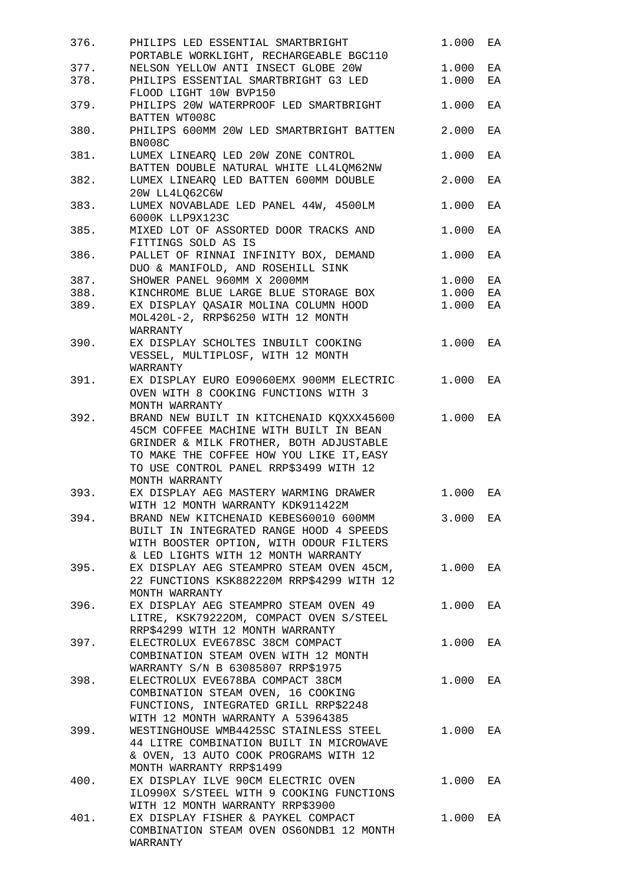| 376. | PHILIPS LED ESSENTIAL SMARTBRIGHT<br>PORTABLE WORKLIGHT, RECHARGEABLE BGC110                                                                                                                                        | 1.000 | EA       |
|------|---------------------------------------------------------------------------------------------------------------------------------------------------------------------------------------------------------------------|-------|----------|
| 377. | NELSON YELLOW ANTI INSECT GLOBE 20W                                                                                                                                                                                 | 1.000 |          |
| 378. | PHILIPS ESSENTIAL SMARTBRIGHT G3 LED                                                                                                                                                                                | 1.000 | EA<br>EA |
|      | FLOOD LIGHT 10W BVP150                                                                                                                                                                                              |       |          |
| 379. | PHILIPS 20W WATERPROOF LED SMARTBRIGHT<br>BATTEN WT008C                                                                                                                                                             | 1.000 | EA       |
| 380. | PHILIPS 600MM 20W LED SMARTBRIGHT BATTEN<br>BN008C                                                                                                                                                                  | 2.000 | EA       |
| 381. | LUMEX LINEARQ LED 20W ZONE CONTROL<br>BATTEN DOUBLE NATURAL WHITE LL4LQM62NW                                                                                                                                        | 1.000 | EA       |
| 382. | LUMEX LINEARQ LED BATTEN 600MM DOUBLE                                                                                                                                                                               | 2.000 | ΕA       |
| 383. | 20W LL4LQ62C6W<br>LUMEX NOVABLADE LED PANEL 44W, 4500LM<br>6000K LLP9X123C                                                                                                                                          | 1.000 | EA       |
| 385. | MIXED LOT OF ASSORTED DOOR TRACKS AND<br>FITTINGS SOLD AS IS                                                                                                                                                        | 1.000 | ΕA       |
| 386. | PALLET OF RINNAI INFINITY BOX, DEMAND                                                                                                                                                                               | 1.000 | EA       |
|      | DUO & MANIFOLD, AND ROSEHILL SINK                                                                                                                                                                                   |       |          |
| 387. | SHOWER PANEL 960MM X 2000MM                                                                                                                                                                                         | 1.000 | EA       |
| 388. | KINCHROME BLUE LARGE BLUE STORAGE BOX                                                                                                                                                                               | 1.000 | EA       |
| 389. | EX DISPLAY QASAIR MOLINA COLUMN HOOD                                                                                                                                                                                | 1.000 | EA       |
|      | MOL420L-2, RRP\$6250 WITH 12 MONTH<br>WARRANTY                                                                                                                                                                      |       |          |
| 390. | EX DISPLAY SCHOLTES INBUILT COOKING                                                                                                                                                                                 | 1.000 | EA       |
|      | VESSEL, MULTIPLOSF, WITH 12 MONTH                                                                                                                                                                                   |       |          |
|      | WARRANTY                                                                                                                                                                                                            |       |          |
| 391. | EX DISPLAY EURO EO9060EMX 900MM ELECTRIC<br>OVEN WITH 8 COOKING FUNCTIONS WITH 3                                                                                                                                    | 1.000 | EA       |
|      | MONTH WARRANTY                                                                                                                                                                                                      |       |          |
| 392. | BRAND NEW BUILT IN KITCHENAID KQXXX45600<br>45CM COFFEE MACHINE WITH BUILT IN BEAN<br>GRINDER & MILK FROTHER, BOTH ADJUSTABLE<br>TO MAKE THE COFFEE HOW YOU LIKE IT, EASY<br>TO USE CONTROL PANEL RRP\$3499 WITH 12 | 1.000 | EA       |
|      | MONTH WARRANTY                                                                                                                                                                                                      |       |          |
| 393. | EX DISPLAY AEG MASTERY WARMING DRAWER                                                                                                                                                                               | 1.000 | EA       |
| 394. | WITH 12 MONTH WARRANTY KDK911422M<br>BRAND NEW KITCHENAID KEBES60010 600MM                                                                                                                                          | 3.000 | EA       |
|      | BUILT IN INTEGRATED RANGE HOOD 4 SPEEDS<br>WITH BOOSTER OPTION, WITH ODOUR FILTERS                                                                                                                                  |       |          |
|      | & LED LIGHTS WITH 12 MONTH WARRANTY                                                                                                                                                                                 |       |          |
| 395. | EX DISPLAY AEG STEAMPRO STEAM OVEN 45CM,<br>22 FUNCTIONS KSK882220M RRP\$4299 WITH 12                                                                                                                               | 1.000 | ΕA       |
|      | MONTH WARRANTY                                                                                                                                                                                                      |       |          |
| 396. | EX DISPLAY AEG STEAMPRO STEAM OVEN 49<br>LITRE, KSK79222OM, COMPACT OVEN S/STEEL                                                                                                                                    | 1.000 | EA       |
| 397. | RRP\$4299 WITH 12 MONTH WARRANTY<br>ELECTROLUX EVE678SC 38CM COMPACT                                                                                                                                                | 1.000 |          |
|      | COMBINATION STEAM OVEN WITH 12 MONTH<br>WARRANTY S/N B 63085807 RRP\$1975                                                                                                                                           |       | EA       |
| 398. | ELECTROLUX EVE678BA COMPACT 38CM                                                                                                                                                                                    | 1.000 | EA       |
|      | COMBINATION STEAM OVEN, 16 COOKING<br>FUNCTIONS, INTEGRATED GRILL RRP\$2248                                                                                                                                         |       |          |
|      | WITH 12 MONTH WARRANTY A 53964385                                                                                                                                                                                   |       |          |
| 399. | WESTINGHOUSE WMB4425SC STAINLESS STEEL<br>44 LITRE COMBINATION BUILT IN MICROWAVE                                                                                                                                   | 1.000 | EA       |
|      | & OVEN, 13 AUTO COOK PROGRAMS WITH 12                                                                                                                                                                               |       |          |
| 400. | MONTH WARRANTY RRP\$1499<br>EX DISPLAY ILVE 90CM ELECTRIC OVEN                                                                                                                                                      | 1.000 | ΕA       |
|      | ILO990X S/STEEL WITH 9 COOKING FUNCTIONS                                                                                                                                                                            |       |          |
|      | WITH 12 MONTH WARRANTY RRP\$3900                                                                                                                                                                                    |       |          |
| 401. | EX DISPLAY FISHER & PAYKEL COMPACT<br>COMBINATION STEAM OVEN OS6ONDB1 12 MONTH                                                                                                                                      | 1.000 | EA       |
|      | WARRANTY                                                                                                                                                                                                            |       |          |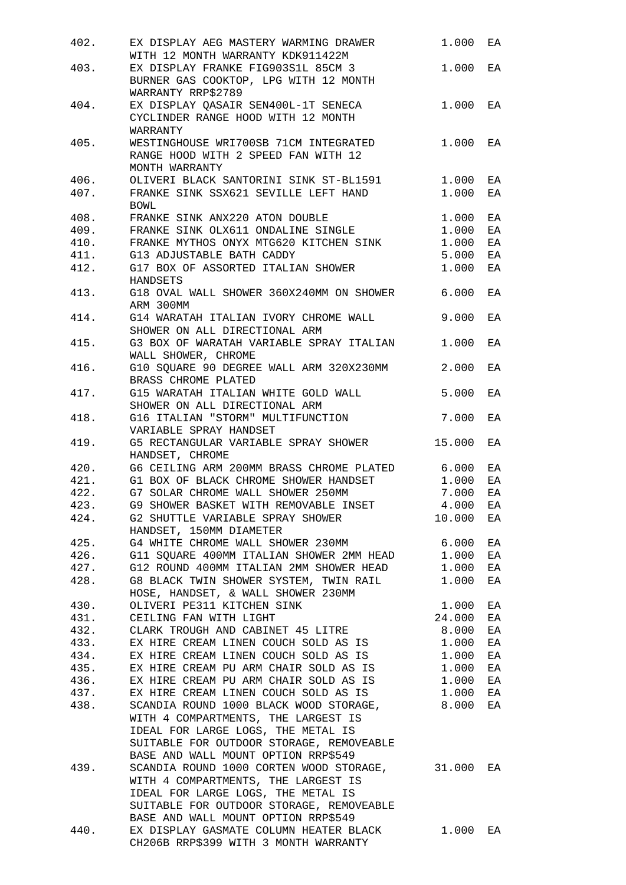| 402. | EX DISPLAY AEG MASTERY WARMING DRAWER                                                                                                                                                                          | 1.000  | EA |
|------|----------------------------------------------------------------------------------------------------------------------------------------------------------------------------------------------------------------|--------|----|
|      | WITH 12 MONTH WARRANTY KDK911422M                                                                                                                                                                              |        |    |
| 403. | EX DISPLAY FRANKE FIG903S1L 85CM 3<br>BURNER GAS COOKTOP, LPG WITH 12 MONTH<br>WARRANTY RRP\$2789                                                                                                              | 1.000  | EA |
| 404. | EX DISPLAY QASAIR SEN400L-1T SENECA                                                                                                                                                                            | 1.000  | EA |
|      | CYCLINDER RANGE HOOD WITH 12 MONTH<br>WARRANTY                                                                                                                                                                 |        |    |
| 405. | WESTINGHOUSE WRI700SB 71CM INTEGRATED                                                                                                                                                                          | 1.000  | EA |
|      | RANGE HOOD WITH 2 SPEED FAN WITH 12<br>MONTH WARRANTY                                                                                                                                                          |        |    |
| 406. | OLIVERI BLACK SANTORINI SINK ST-BL1591                                                                                                                                                                         | 1.000  | EA |
| 407. | FRANKE SINK SSX621 SEVILLE LEFT HAND<br><b>BOWL</b>                                                                                                                                                            | 1.000  | EA |
| 408. | FRANKE SINK OLX611 ONDALINE SINGLE<br>FRANKE SINK OLX611 ONDALINE SINGLE                                                                                                                                       | 1.000  | ΕA |
| 409. |                                                                                                                                                                                                                | 1.000  | ΕA |
| 410. | FRANKE MYTHOS ONYX MTG620 KITCHEN SINK                                                                                                                                                                         | 1.000  | EA |
| 411. | G13 ADJUSTABLE BATH CADDY                                                                                                                                                                                      | 5.000  | ΕA |
| 412. | G17 BOX OF ASSORTED ITALIAN SHOWER                                                                                                                                                                             | 1.000  | EA |
|      | HANDSETS                                                                                                                                                                                                       |        |    |
| 413. | G18 OVAL WALL SHOWER 360X240MM ON SHOWER 6.000<br>ARM 300MM                                                                                                                                                    |        | EA |
| 414. | G14 WARATAH ITALIAN IVORY CHROME WALL<br>SHOWER ON ALL DIRECTIONAL ARM                                                                                                                                         | 9.000  | EA |
| 415. | G3 BOX OF WARATAH VARIABLE SPRAY ITALIAN<br>WALL SHOWER, CHROME                                                                                                                                                | 1.000  | EA |
| 416. | G10 SQUARE 90 DEGREE WALL ARM 320X230MM<br>BRASS CHROME PLATED                                                                                                                                                 | 2.000  | EA |
| 417. | G15 WARATAH ITALIAN WHITE GOLD WALL<br>SHOWER ON ALL DIRECTIONAL ARM                                                                                                                                           | 5.000  | EA |
| 418. | G16 ITALIAN "STORM" MULTIFUNCTION<br>VARIABLE SPRAY HANDSET                                                                                                                                                    | 7.000  | EA |
| 419. | G5 RECTANGULAR VARIABLE SPRAY SHOWER<br>HANDSET, CHROME                                                                                                                                                        | 15.000 | EA |
| 420. | G6 CEILING ARM 200MM BRASS CHROME PLATED 6.000                                                                                                                                                                 |        | EA |
|      | 421. G1 BOX OF BLACK CHROME SHOWER HANDSET                                                                                                                                                                     |        |    |
|      |                                                                                                                                                                                                                | 1.000  | EA |
| 422. | G7 SOLAR CHROME WALL SHOWER 250MM                                                                                                                                                                              | 7.000  | EA |
| 423. | G9 SHOWER BASKET WITH REMOVABLE INSET                                                                                                                                                                          | 4.000  | EA |
| 424. | G2 SHUTTLE VARIABLE SPRAY SHOWER<br>HANDSET, 150MM DIAMETER                                                                                                                                                    | 10.000 | ΕA |
|      | 425. G4 WHITE CHROME WALL SHOWER 230MM                                                                                                                                                                         | 6.000  | ΕA |
|      | 426. G11 SQUARE 400MM ITALIAN SHOWER 2MM HEAD 1.000                                                                                                                                                            |        | ΕA |
|      | 427. G12 ROUND 400MM ITALIAN 2MM SHOWER HEAD 1.000                                                                                                                                                             |        | ΕA |
|      | 428. G8 BLACK TWIN SHOWER SYSTEM, TWIN RAIL                                                                                                                                                                    | 1.000  | ΕA |
|      | HOSE, HANDSET, & WALL SHOWER 230MM                                                                                                                                                                             |        |    |
|      |                                                                                                                                                                                                                |        |    |
|      | 430. OLIVERI PE311 KITCHEN SINK                                                                                                                                                                                | 1.000  | ΕA |
|      | 431. CEILING FAN WITH LIGHT                                                                                                                                                                                    | 24.000 | ΕA |
|      | 432. CLARK TROUGH AND CABINET 45 LITRE                                                                                                                                                                         | 8.000  | ΕA |
| 433. | EX HIRE CREAM LINEN COUCH SOLD AS IS                                                                                                                                                                           | 1.000  | ΕA |
|      | 434. EX HIRE CREAM LINEN COUCH SOLD AS IS                                                                                                                                                                      | 1.000  | ΕA |
|      | 435. EX HIRE CREAM PU ARM CHAIR SOLD AS IS                                                                                                                                                                     | 1.000  | ΕA |
|      | 436. EX HIRE CREAM PU ARM CHAIR SOLD AS IS 1.000                                                                                                                                                               |        | ΕA |
|      | 437. EX HIRE CREAM LINEN COUCH SOLD AS IS 1.000                                                                                                                                                                |        | EA |
| 438. | SCANDIA ROUND 1000 BLACK WOOD STORAGE, 8.000                                                                                                                                                                   |        | EA |
|      | WITH 4 COMPARTMENTS, THE LARGEST IS<br>IDEAL FOR LARGE LOGS, THE METAL IS<br>SUITABLE FOR OUTDOOR STORAGE, REMOVEABLE                                                                                          |        |    |
| 439. | BASE AND WALL MOUNT OPTION RRP\$549<br>SCANDIA ROUND 1000 CORTEN WOOD STORAGE, 31.000<br>WITH 4 COMPARTMENTS, THE LARGEST IS<br>IDEAL FOR LARGE LOGS, THE METAL IS<br>SUITABLE FOR OUTDOOR STORAGE, REMOVEABLE |        | EA |
|      | BASE AND WALL MOUNT OPTION RRP\$549                                                                                                                                                                            |        |    |
| 440. | EX DISPLAY GASMATE COLUMN HEATER BLACK<br>CH206B RRP\$399 WITH 3 MONTH WARRANTY                                                                                                                                | 1.000  | EA |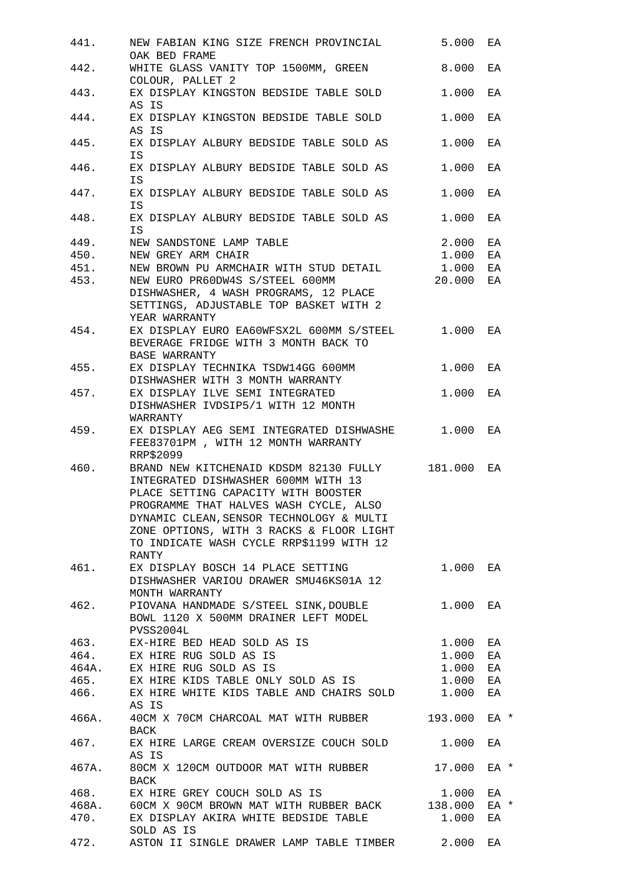| 441. | NEW FABIAN KING SIZE FRENCH PROVINCIAL<br>OAK BED FRAME                                                                                                                                                                                                                                                             | 5.000    | ЕA         |
|------|---------------------------------------------------------------------------------------------------------------------------------------------------------------------------------------------------------------------------------------------------------------------------------------------------------------------|----------|------------|
| 442. | WHITE GLASS VANITY TOP 1500MM, GREEN<br>COLOUR, PALLET 2                                                                                                                                                                                                                                                            | 8.000    | EA         |
| 443. | EX DISPLAY KINGSTON BEDSIDE TABLE SOLD<br>AS IS                                                                                                                                                                                                                                                                     | 1,000    | ЕA         |
| 444. | EX DISPLAY KINGSTON BEDSIDE TABLE SOLD<br>AS IS                                                                                                                                                                                                                                                                     | 1.000    | EA         |
| 445. | EX DISPLAY ALBURY BEDSIDE TABLE SOLD AS<br>IS                                                                                                                                                                                                                                                                       | 1,000    | ЕA         |
| 446. | EX DISPLAY ALBURY BEDSIDE TABLE SOLD AS<br>IS                                                                                                                                                                                                                                                                       | 1.000    | EA         |
| 447. | EX DISPLAY ALBURY BEDSIDE TABLE SOLD AS<br>IS                                                                                                                                                                                                                                                                       | 1.000    | ΕA         |
| 448. | EX DISPLAY ALBURY BEDSIDE TABLE SOLD AS<br>IS                                                                                                                                                                                                                                                                       | 1.000    | ЕA         |
| 449. | NEW SANDSTONE LAMP TABLE                                                                                                                                                                                                                                                                                            | 2.000    | EA         |
| 450. | NEW GREY ARM CHAIR                                                                                                                                                                                                                                                                                                  | 1.000    | EA         |
| 451. | NEW BROWN PU ARMCHAIR WITH STUD DETAIL                                                                                                                                                                                                                                                                              | 1.000    | ΕA         |
| 453. | NEW EURO PR60DW4S S/STEEL 600MM                                                                                                                                                                                                                                                                                     | 20.000   | ΕA         |
|      | DISHWASHER, 4 WASH PROGRAMS, 12 PLACE<br>SETTINGS, ADJUSTABLE TOP BASKET WITH 2<br>YEAR WARRANTY                                                                                                                                                                                                                    |          |            |
| 454. | EX DISPLAY EURO EA60WFSX2L 600MM S/STEEL 1.000<br>BEVERAGE FRIDGE WITH 3 MONTH BACK TO                                                                                                                                                                                                                              |          | ЕA         |
| 455. | <b>BASE WARRANTY</b><br>EX DISPLAY TECHNIKA TSDW14GG 600MM                                                                                                                                                                                                                                                          | 1.000    | EA         |
| 457. | DISHWASHER WITH 3 MONTH WARRANTY<br>EX DISPLAY ILVE SEMI INTEGRATED<br>DISHWASHER IVDSIP5/1 WITH 12 MONTH<br>WARRANTY                                                                                                                                                                                               | 1.000    | ЕA         |
| 459. | EX DISPLAY AEG SEMI INTEGRATED DISHWASHE 1.000<br>FEE83701PM, WITH 12 MONTH WARRANTY<br>RRP\$2099                                                                                                                                                                                                                   |          | EA         |
| 460. | BRAND NEW KITCHENAID KDSDM 82130 FULLY 181.000<br>INTEGRATED DISHWASHER 600MM WITH 13<br>PLACE SETTING CAPACITY WITH BOOSTER<br>PROGRAMME THAT HALVES WASH CYCLE, ALSO<br>DYNAMIC CLEAN, SENSOR TECHNOLOGY & MULTI<br>ZONE OPTIONS, WITH 3 RACKS & FLOOR LIGHT<br>TO INDICATE WASH CYCLE RRP\$1199 WITH 12<br>RANTY |          | ЕA         |
| 461. | EX DISPLAY BOSCH 14 PLACE SETTING<br>DISHWASHER VARIOU DRAWER SMU46KS01A 12<br>MONTH WARRANTY                                                                                                                                                                                                                       | 1.000 EA |            |
| 462. | PIOVANA HANDMADE S/STEEL SINK, DOUBLE<br>BOWL 1120 X 500MM DRAINER LEFT MODEL<br>PVSS2004L                                                                                                                                                                                                                          | 1.000    | ЕA         |
|      | 463. EX-HIRE BED HEAD SOLD AS IS                                                                                                                                                                                                                                                                                    | 1.000    | EA         |
|      | 464. EX HIRE RUG SOLD AS IS                                                                                                                                                                                                                                                                                         | 1.000    | ΕA         |
|      | 464A. EX HIRE RUG SOLD AS IS                                                                                                                                                                                                                                                                                        | 1.000    | ΕA         |
|      | 465. EX HIRE KIDS TABLE ONLY SOLD AS IS 1.000                                                                                                                                                                                                                                                                       |          |            |
|      |                                                                                                                                                                                                                                                                                                                     |          | ΕA         |
|      | 466. EX HIRE WHITE KIDS TABLE AND CHAIRS SOLD 1.000<br>AS IS                                                                                                                                                                                                                                                        |          | ΕA         |
|      | 466A. 40CM X 70CM CHARCOAL MAT WITH RUBBER 193.000<br>BACK                                                                                                                                                                                                                                                          |          | EA *       |
| 467. | EX HIRE LARGE CREAM OVERSIZE COUCH SOLD<br>AS IS                                                                                                                                                                                                                                                                    | 1.000    | EA         |
|      | 467A. 80CM X 120CM OUTDOOR MAT WITH RUBBER<br>BACK                                                                                                                                                                                                                                                                  | 17.000   | EA *       |
|      | 468. EX HIRE GREY COUCH SOLD AS IS                                                                                                                                                                                                                                                                                  | 1.000    | EA         |
|      | 468A. 60CM X 90CM BROWN MAT WITH RUBBER BACK 138.000<br>470. EX DISPLAY AKIRA WHITE BEDSIDE TABLE<br>SOLD AS IS                                                                                                                                                                                                     | 1.000    | EA *<br>EA |
| 472. | ASTON II SINGLE DRAWER LAMP TABLE TIMBER                                                                                                                                                                                                                                                                            | 2.000    | ΕA         |
|      |                                                                                                                                                                                                                                                                                                                     |          |            |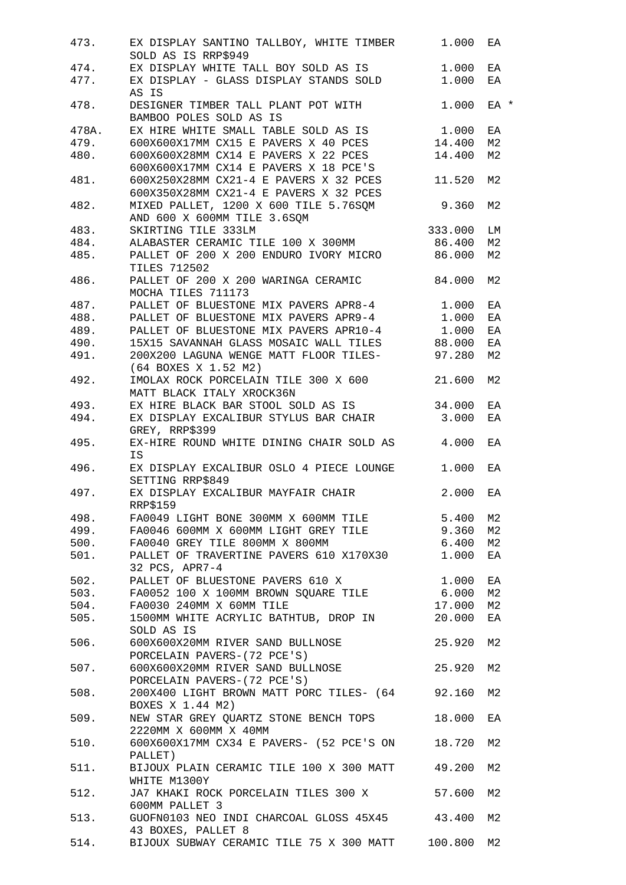| 473.  | EX DISPLAY SANTINO TALLBOY, WHITE TIMBER<br>SOLD AS IS RRP\$949                                                                  | 1.000   | ΕA             |
|-------|----------------------------------------------------------------------------------------------------------------------------------|---------|----------------|
| 474.  | EX DISPLAY WHITE TALL BOY SOLD AS IS                                                                                             | 1.000   | EA             |
| 477.  | EX DISPLAY - GLASS DISPLAY STANDS SOLD<br>AS IS                                                                                  | 1.000   | EA             |
| 478.  | DESIGNER TIMBER TALL PLANT POT WITH<br>BAMBOO POLES SOLD AS IS                                                                   | 1.000   | EA *           |
| 478A. | EX HIRE WHITE SMALL TABLE SOLD AS IS                                                                                             | 1.000   | ΕA             |
| 479.  | 600X600X17MM CX15 E PAVERS X 40 PCES                                                                                             | 14.400  | M <sub>2</sub> |
| 480.  | 600X600X28MM CX14 E PAVERS X 22 PCES<br>600X600X17MM CX14 E PAVERS X 18 PCE'S                                                    | 14.400  | M2             |
| 481.  | 600X250X28MM CX21-4 E PAVERS X 32 PCES<br>600X350X28MM CX21-4 E PAVERS X 32 PCES                                                 | 11.520  | M <sub>2</sub> |
| 482.  | MIXED PALLET, 1200 X 600 TILE 5.76SQM<br>AND 600 X 600MM TILE 3.6SQM                                                             | 9.360   | M <sub>2</sub> |
| 483.  | SKIRTING TILE 333LM                                                                                                              | 333.000 | LM             |
| 484.  | ALABASTER CERAMIC TILE 100 X 300MM                                                                                               | 86.400  | M2             |
| 485.  | PALLET OF 200 X 200 ENDURO IVORY MICRO                                                                                           | 86.000  | M2             |
| 486.  | <b>TILES 712502</b><br>PALLET OF 200 X 200 WARINGA CERAMIC                                                                       | 84.000  | M2             |
|       | MOCHA TILES 711173                                                                                                               |         |                |
| 487.  | PALLET OF BLUESTONE MIX PAVERS APR8-4 1.000                                                                                      |         | EA             |
| 488.  | PALLET OF BLUESTONE MIX PAVERS APR9-4                                                                                            | 1.000   | EA             |
| 489.  | PALLET OF BLUESTONE MIX PAVERS APR10-4                                                                                           | 1.000   | EA             |
| 490.  | 15X15 SAVANNAH GLASS MOSAIC WALL TILES                                                                                           | 88.000  | ΕA             |
| 491.  | 200X200 LAGUNA WENGE MATT FLOOR TILES-<br>(64 BOXES X 1.52 M2)                                                                   | 97.280  | M2             |
| 492.  | IMOLAX ROCK PORCELAIN TILE 300 X 600<br>MATT BLACK ITALY XROCK36N                                                                | 21.600  | M <sub>2</sub> |
| 493.  | EX HIRE BLACK BAR STOOL SOLD AS IS                                                                                               | 34.000  | EA             |
| 494.  | EX DISPLAY EXCALIBUR STYLUS BAR CHAIR<br>GREY, RRP\$399                                                                          | 3.000   | EA             |
| 495.  | EX-HIRE ROUND WHITE DINING CHAIR SOLD AS<br>IS                                                                                   | 4.000   | EA             |
| 496.  | EX DISPLAY EXCALIBUR OSLO 4 PIECE LOUNGE<br>SETTING RRP\$849                                                                     | 1.000   | ΕA             |
| 497.  | EX DISPLAY EXCALIBUR MAYFAIR CHAIR<br><b>RRP\$159</b>                                                                            | 2.000   | ΕA             |
|       | 498. FA0049 LIGHT BONE 300MM X 600MM TILE 5.400                                                                                  |         | M2             |
|       | 499. FA0046 600MM X 600MM LIGHT GREY TILE 9.360                                                                                  |         | М2             |
|       |                                                                                                                                  |         |                |
|       | 500. FA0040 GREY TILE 800MM X 800MM<br>500. FA0040 GREY TILE 800MM X 800MM<br>501. PALLET OF TRAVERTINE PAVERS 610 X170X30 1.000 | 6.400   | М2             |
|       | 32 PCS, APR7-4                                                                                                                   |         | ΕA             |
|       | 502. PALLET OF BLUESTONE PAVERS 610 X                                                                                            | 1.000   | EA             |
|       | 503. FA0052 100 X 100MM BROWN SQUARE TILE 6.000                                                                                  |         | M2             |
|       | 504. FA0030 240MM X 60MM TILE                                                                                                    | 17.000  | M <sub>2</sub> |
| 505.  | 1500MM WHITE ACRYLIC BATHTUB, DROP IN<br>SOLD AS IS                                                                              | 20.000  | ΕA             |
|       | 506. 600X600X20MM RIVER SAND BULLNOSE<br>PORCELAIN PAVERS-(72 PCE'S)                                                             | 25.920  | M2             |
|       | 507. 600X600X20MM RIVER SAND BULLNOSE<br>PORCELAIN PAVERS-(72 PCE'S)                                                             | 25.920  | M <sub>2</sub> |
|       | 508. 200X400 LIGHT BROWN MATT PORC TILES- (64 92.160<br>BOXES X 1.44 M2)                                                         |         | M <sub>2</sub> |
| 509.  | NEW STAR GREY QUARTZ STONE BENCH TOPS<br>2220MM X 600MM X 40MM                                                                   | 18.000  | EA             |
| 510.  | 600X600X17MM CX34 E PAVERS- (52 PCE'S ON<br>PALLET)                                                                              | 18.720  | М2             |
| 511.  | BIJOUX PLAIN CERAMIC TILE 100 X 300 MATT<br>WHITE M1300Y                                                                         | 49.200  | М2             |
| 512.  | JA7 KHAKI ROCK PORCELAIN TILES 300 X<br>600MM PALLET 3                                                                           | 57.600  | М2             |
| 513.  | GUOFN0103 NEO INDI CHARCOAL GLOSS 45X45 43.400<br>43 BOXES, PALLET 8                                                             |         | М2             |
|       | 514. BIJOUX SUBWAY CERAMIC TILE 75 X 300 MATT 100.800                                                                            |         | М2             |